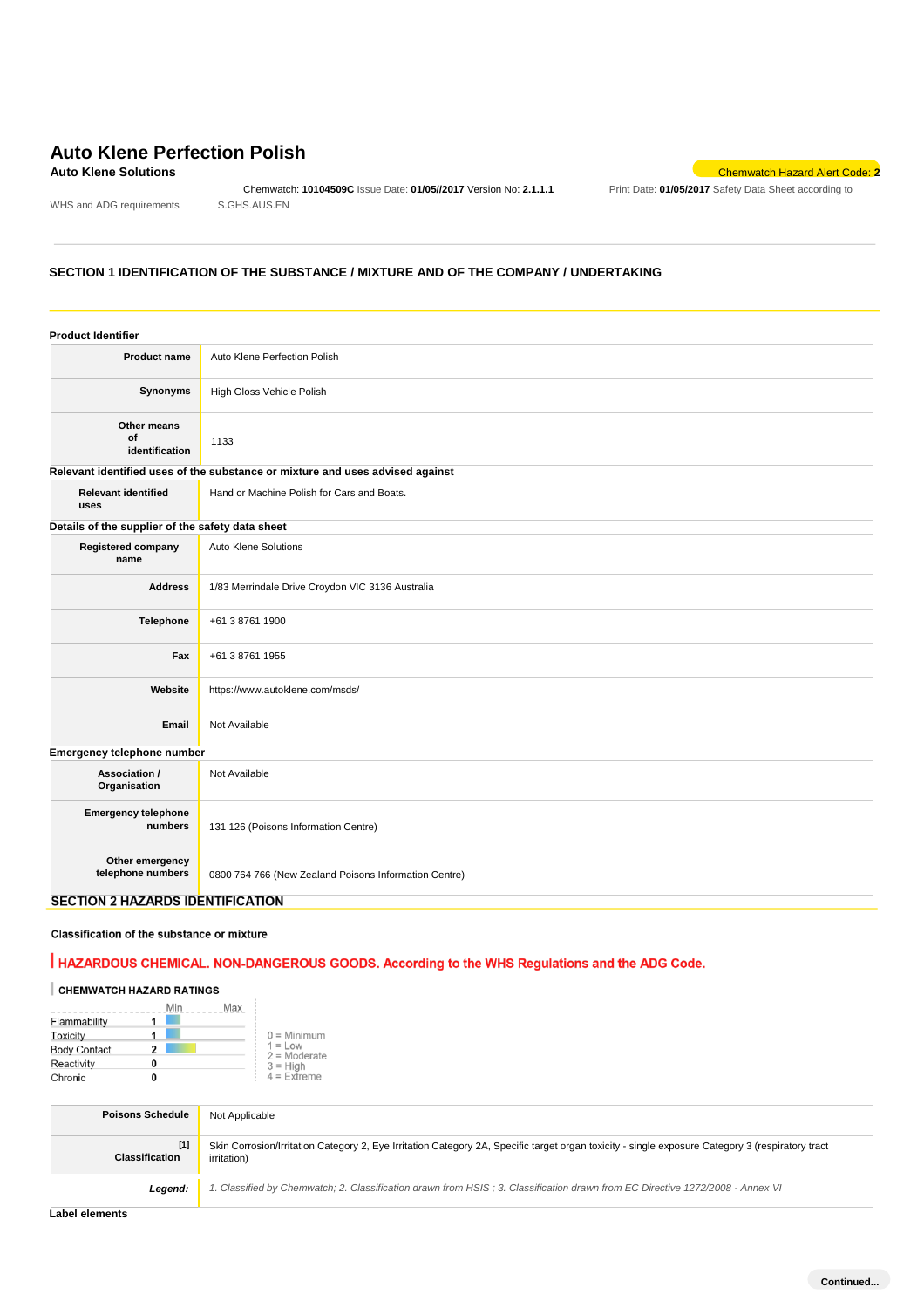# **Auto Klene Perfection Polish**

Chemwatch: **10104509C** Issue Date: **01/05//2017** Version No: 2.1.1.1 WHS and ADG requirements S.GHS.AUS.EN

**Automatch Hazard Alert Code: 2**<br>Print Date: **01/05/2017** Safety Data Sheet according to

**SECTION 1 IDENTIFICATION OF THE SUBSTANCE / MIXTURE AND OF THE COMPANY / UNDERTAKING** 

| <b>Product Identifier</b>                        |                                                                               |
|--------------------------------------------------|-------------------------------------------------------------------------------|
| <b>Product name</b>                              | Auto Klene Perfection Polish                                                  |
| Synonyms                                         | High Gloss Vehicle Polish                                                     |
| Other means<br>of<br>identification              | 1133                                                                          |
|                                                  | Relevant identified uses of the substance or mixture and uses advised against |
| <b>Relevant identified</b><br>uses               | Hand or Machine Polish for Cars and Boats.                                    |
| Details of the supplier of the safety data sheet |                                                                               |
| <b>Registered company</b><br>name                | Auto Klene Solutions                                                          |
| <b>Address</b>                                   | 1/83 Merrindale Drive Croydon VIC 3136 Australia                              |
| Telephone                                        | +61 3 8761 1900                                                               |
| Fax                                              | +61 3 8761 1955                                                               |
| Website                                          | https://www.autoklene.com/msds/                                               |
| Email                                            | Not Available                                                                 |
| Emergency telephone number                       |                                                                               |
| Association /<br>Organisation                    | Not Available                                                                 |
| <b>Emergency telephone</b><br>numbers            | 131 126 (Poisons Information Centre)                                          |
| Other emergency<br>telephone numbers             | 0800 764 766 (New Zealand Poisons Information Centre)                         |
| <b>SECTION 2 HAZARDS IDENTIFICATION</b>          |                                                                               |

### Classification of the substance or mixture

HAZARDOUS CHEMICAL. NON-DANGEROUS GOODS. According to the WHS Regulations and the ADG Code.

### CHEMWATCH HAZARD RATINGS

|                     | Min<br>Max |                             |
|---------------------|------------|-----------------------------|
| Flammability        |            |                             |
| Toxicity            |            | $0 =$ Minimum               |
| <b>Body Contact</b> |            | $1 = Low$<br>$2 =$ Moderate |
| Reactivity          | 0          | $3 =$ High                  |
| Chronic             | o          | $4$ = Extreme               |

| <b>Poisons Schedule</b>      | Not Applicable                                                                                                                                                  |
|------------------------------|-----------------------------------------------------------------------------------------------------------------------------------------------------------------|
| [1]<br><b>Classification</b> | Skin Corrosion/Irritation Category 2, Eye Irritation Category 2A, Specific target organ toxicity - single exposure Category 3 (respiratory tract<br>irritation) |
| Leaend:                      | 1. Classified by Chemwatch; 2. Classification drawn from HSIS; 3. Classification drawn from EC Directive 1272/2008 - Annex VI                                   |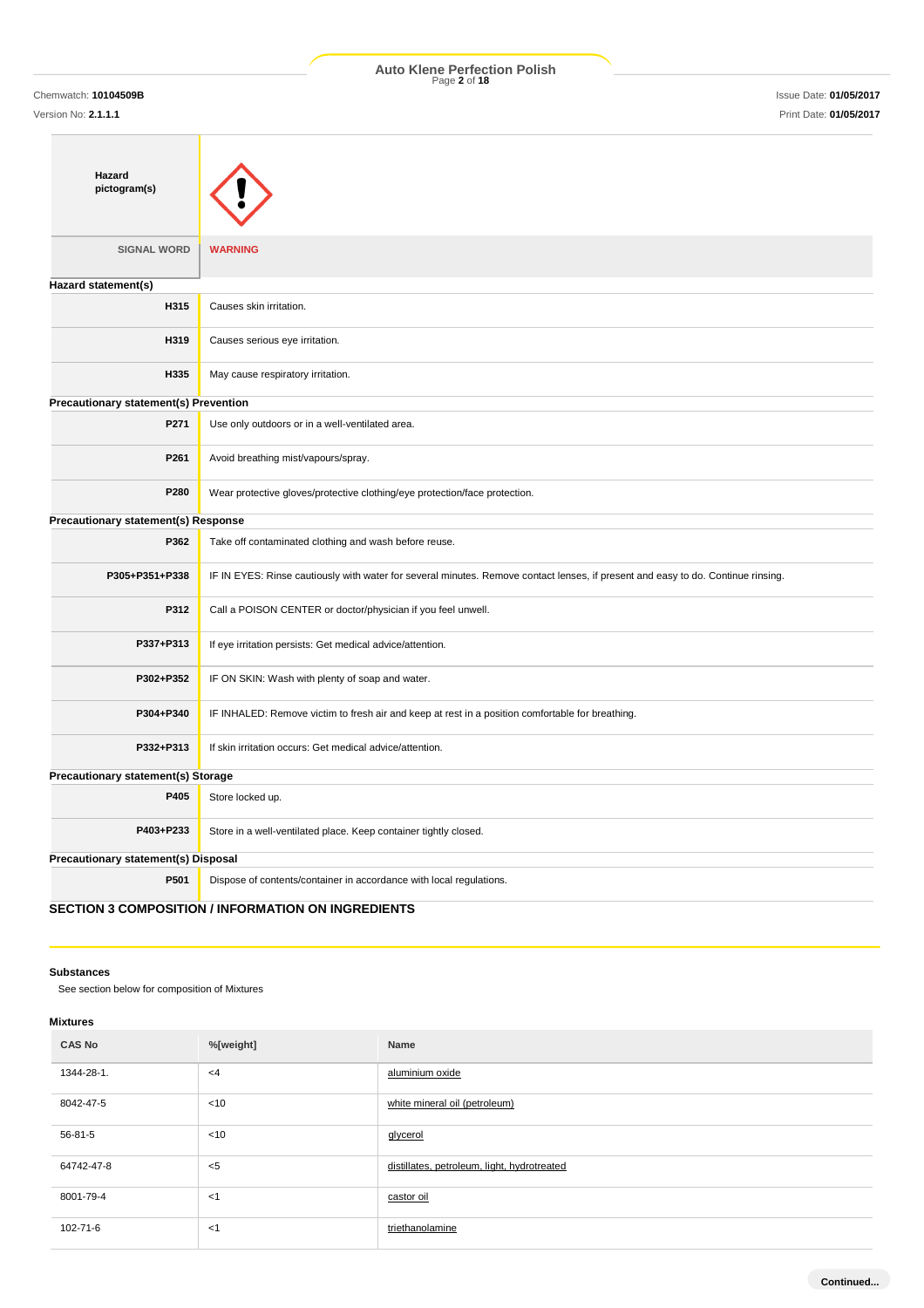### Chemwatch: **10104509B** Issue Date: **01/05/2017**

## Page **2** of **18 Auto Klene Perfection Polish**

| Hazard<br>pictogram(s)                    |                                                                                                                                  |
|-------------------------------------------|----------------------------------------------------------------------------------------------------------------------------------|
| <b>SIGNAL WORD</b>                        | <b>WARNING</b>                                                                                                                   |
| Hazard statement(s)                       |                                                                                                                                  |
| H315                                      | Causes skin irritation.                                                                                                          |
| H319                                      | Causes serious eye irritation.                                                                                                   |
| H335                                      | May cause respiratory irritation.                                                                                                |
| Precautionary statement(s) Prevention     |                                                                                                                                  |
| P271                                      | Use only outdoors or in a well-ventilated area.                                                                                  |
| P261                                      | Avoid breathing mist/vapours/spray.                                                                                              |
| P280                                      | Wear protective gloves/protective clothing/eye protection/face protection.                                                       |
| Precautionary statement(s) Response       |                                                                                                                                  |
| P362                                      | Take off contaminated clothing and wash before reuse.                                                                            |
| P305+P351+P338                            | IF IN EYES: Rinse cautiously with water for several minutes. Remove contact lenses, if present and easy to do. Continue rinsing. |
| P312                                      | Call a POISON CENTER or doctor/physician if you feel unwell.                                                                     |
| P337+P313                                 | If eye irritation persists: Get medical advice/attention.                                                                        |
| P302+P352                                 | IF ON SKIN: Wash with plenty of soap and water.                                                                                  |
| P304+P340                                 | IF INHALED: Remove victim to fresh air and keep at rest in a position comfortable for breathing.                                 |
| P332+P313                                 | If skin irritation occurs: Get medical advice/attention.                                                                         |
| <b>Precautionary statement(s) Storage</b> |                                                                                                                                  |
| P405                                      | Store locked up.                                                                                                                 |
| P403+P233                                 | Store in a well-ventilated place. Keep container tightly closed.                                                                 |
| Precautionary statement(s) Disposal       |                                                                                                                                  |
| P501                                      | Dispose of contents/container in accordance with local regulations.                                                              |
|                                           |                                                                                                                                  |

## **SECTION 3 COMPOSITION / INFORMATION ON INGREDIENTS**

**Substances**

See section below for composition of Mixtures

### **Mixtures**

| <b>CAS No</b> | %[weight] | Name                                        |
|---------------|-----------|---------------------------------------------|
| 1344-28-1.    | $<$ 4     | aluminium oxide                             |
| 8042-47-5     | $<$ 10    | white mineral oil (petroleum)               |
| $56 - 81 - 5$ | $<$ 10    | glycerol                                    |
| 64742-47-8    | $<$ 5     | distillates, petroleum, light, hydrotreated |
| 8001-79-4     | $<$ 1     | castor oil                                  |
| 102-71-6      | $<$ 1     | triethanolamine                             |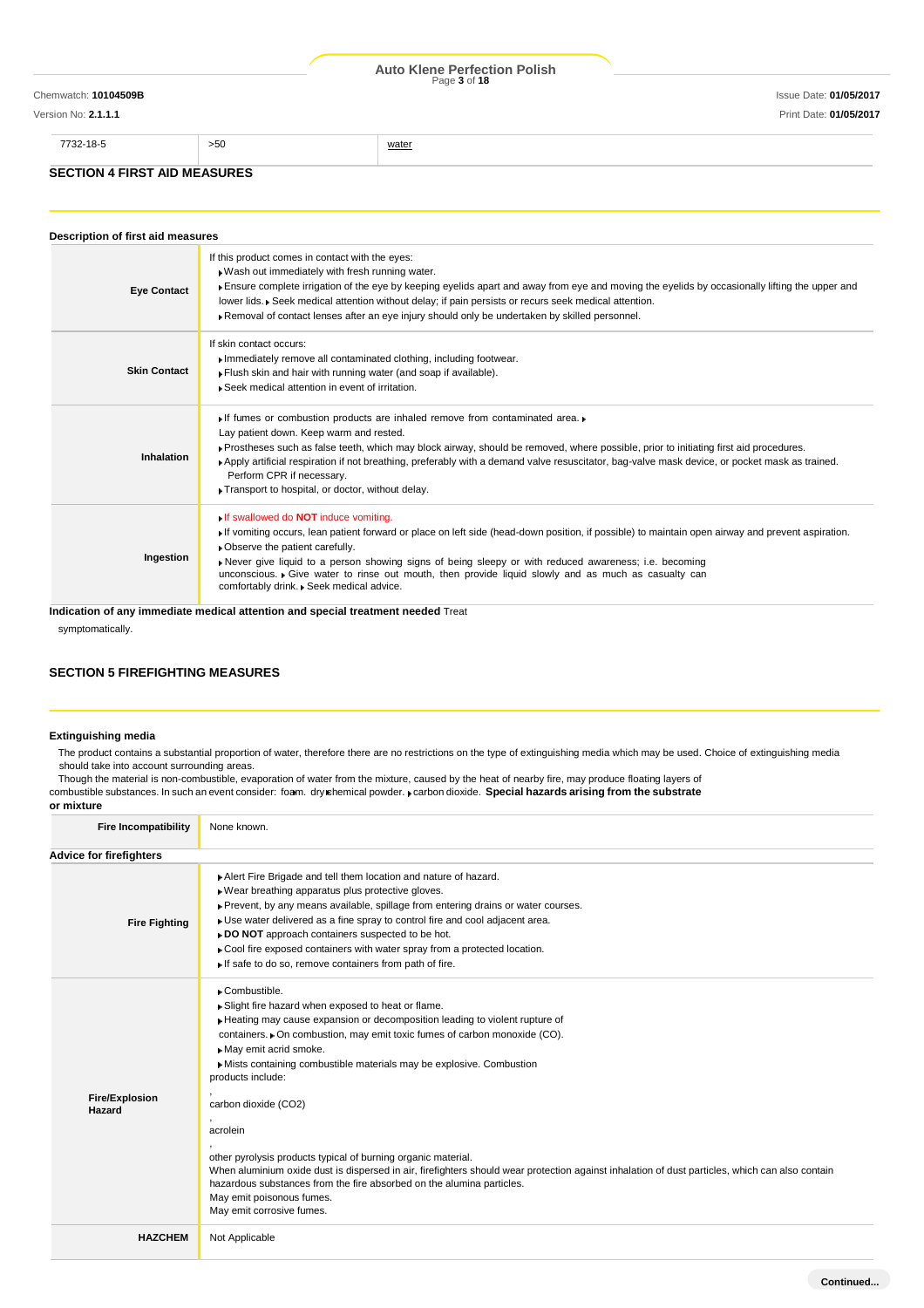### Version No: **2.1.1.1** Print Date: **01/05/2017**

## Page **3** of **18 Auto Klene Perfection Polish**

### **SECTION 4 FIRST AID MEASURES**

7732-18-5 >50 water

**Description of first aid measures Eye Contact** If this product comes in contact with the eyes: Wash out immediately with fresh running water. Ensure complete irrigation of the eye by keeping eyelids apart and away from eye and moving the eyelids by occasionally lifting the upper and lower lids. Geek medical attention without delay; if pain persists or recurs seek medical attention. Removal of contact lenses after an eye injury should only be undertaken by skilled personnel. **Skin Contact** If skin contact occurs: Immediately remove all contaminated clothing, including footwear. **Flush skin and hair with running water (and soap if available).** Seek medical attention in event of irritation. **Inhalation** If fumes or combustion products are inhaled remove from contaminated area. Lay patient down. Keep warm and rested. Prostheses such as false teeth, which may block airway, should be removed, where possible, prior to initiating first aid procedures. Apply artificial respiration if not breathing, preferably with a demand valve resuscitator, bag-valve mask device, or pocket mask as trained. Perform CPR if necessary. ▶ Transport to hospital, or doctor, without delay. **Ingestion** If swallowed do **NOT** induce vomiting. If vomiting occurs, lean patient forward or place on left side (head-down position, if possible) to maintain open airway and prevent aspiration.  $\blacktriangleright$  Observe the patient carefully. Never give liquid to a person showing signs of being sleepy or with reduced awareness; i.e. becoming unconscious. Give water to rinse out mouth, then provide liquid slowly and as much as casualty can comfortably drink. Geek medical advice.

**Indication of any immediate medical attention and special treatment needed** Treat

symptomatically.

### **SECTION 5 FIREFIGHTING MEASURES**

### **Extinguishing media**

The product contains a substantial proportion of water, therefore there are no restrictions on the type of extinguishing media which may be used. Choice of extinguishing media should take into account surrounding areas.

Though the material is non-combustible, evaporation of water from the mixture, caused by the heat of nearby fire, may produce floating layers of

combustible substances. In such an event consider: foam. dry chemical powder. **p** carbon dioxide. **Special hazards arising from the substrate** 

### **or mixture**

| <b>Fire Incompatibility</b>     | None known.                                                                                                                                     |
|---------------------------------|-------------------------------------------------------------------------------------------------------------------------------------------------|
| <b>Advice for firefighters</b>  |                                                                                                                                                 |
|                                 |                                                                                                                                                 |
|                                 | Alert Fire Brigade and tell them location and nature of hazard.                                                                                 |
|                                 | . Wear breathing apparatus plus protective gloves.                                                                                              |
|                                 | Prevent, by any means available, spillage from entering drains or water courses.                                                                |
| <b>Fire Fighting</b>            | Use water delivered as a fine spray to control fire and cool adjacent area.                                                                     |
|                                 | DO NOT approach containers suspected to be hot.                                                                                                 |
|                                 | Cool fire exposed containers with water spray from a protected location.                                                                        |
|                                 | If safe to do so, remove containers from path of fire.                                                                                          |
|                                 | ▶ Combustible.                                                                                                                                  |
|                                 | Slight fire hazard when exposed to heat or flame.                                                                                               |
|                                 | Heating may cause expansion or decomposition leading to violent rupture of                                                                      |
|                                 | containers. • On combustion, may emit toxic fumes of carbon monoxide (CO).                                                                      |
|                                 | May emit acrid smoke.                                                                                                                           |
|                                 | Mists containing combustible materials may be explosive. Combustion                                                                             |
|                                 | products include:                                                                                                                               |
| <b>Fire/Explosion</b><br>Hazard | carbon dioxide (CO2)                                                                                                                            |
|                                 | acrolein                                                                                                                                        |
|                                 |                                                                                                                                                 |
|                                 | other pyrolysis products typical of burning organic material.                                                                                   |
|                                 | When aluminium oxide dust is dispersed in air, firefighters should wear protection against inhalation of dust particles, which can also contain |
|                                 | hazardous substances from the fire absorbed on the alumina particles.                                                                           |
|                                 | May emit poisonous fumes.                                                                                                                       |
|                                 | May emit corrosive fumes.                                                                                                                       |
| <b>HAZCHEM</b>                  | Not Applicable                                                                                                                                  |
|                                 |                                                                                                                                                 |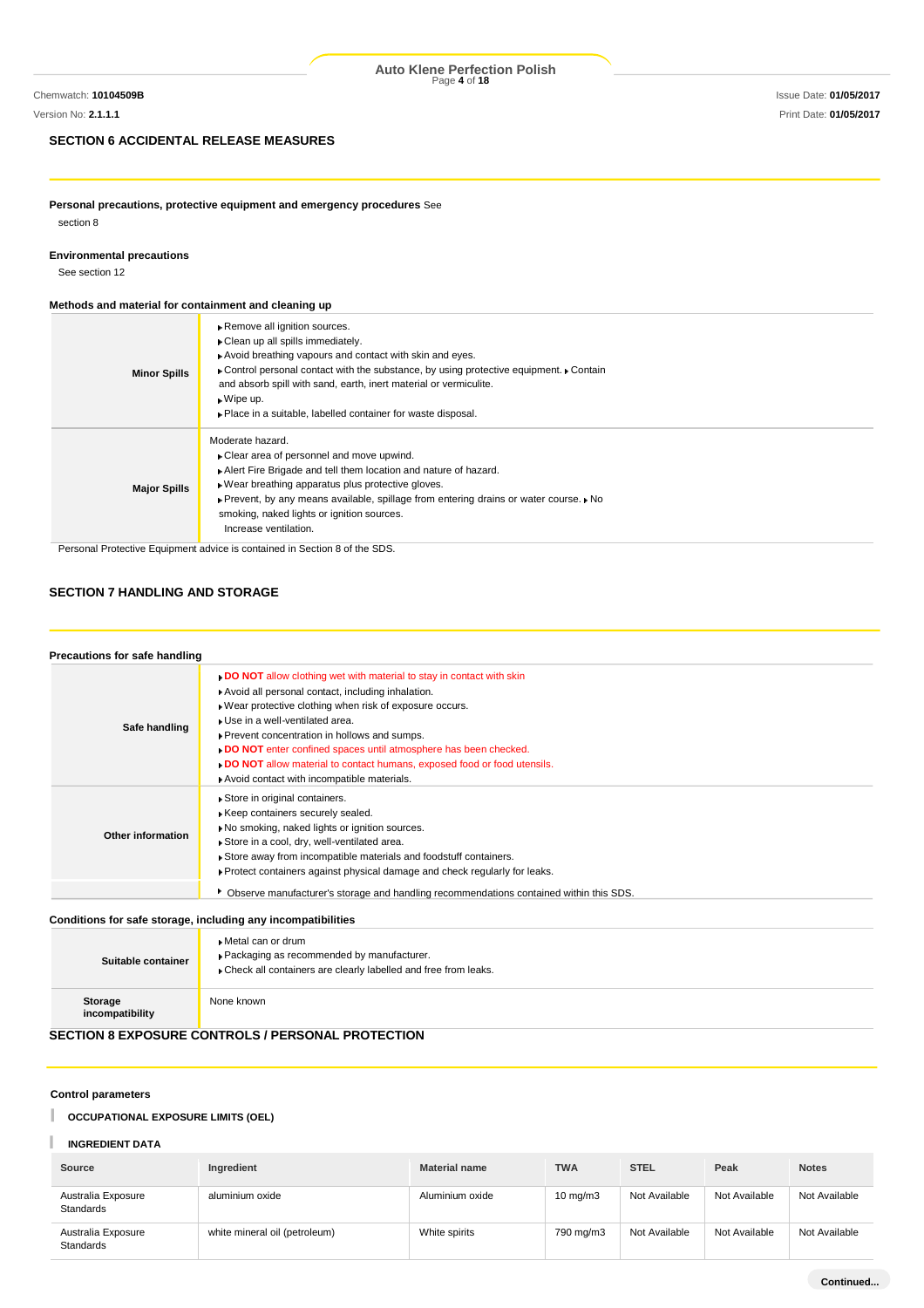Version No: **2.1.1.1** Print Date: **01/05/2017**

### **SECTION 6 ACCIDENTAL RELEASE MEASURES**

**Personal precautions, protective equipment and emergency procedures** See

section 8

### **Environmental precautions**

See section 12

### **Methods and material for containment and cleaning up**

| <b>Minor Spills</b> | Remove all ignition sources.<br>Clean up all spills immediately.<br>Avoid breathing vapours and contact with skin and eyes.<br>Control personal contact with the substance, by using protective equipment. Contain<br>and absorb spill with sand, earth, inert material or vermiculite.<br>$\triangleright$ Wipe up.<br>Place in a suitable, labelled container for waste disposal. |
|---------------------|-------------------------------------------------------------------------------------------------------------------------------------------------------------------------------------------------------------------------------------------------------------------------------------------------------------------------------------------------------------------------------------|
| <b>Major Spills</b> | Moderate hazard.<br>• Clear area of personnel and move upwind.<br>Alert Fire Brigade and tell them location and nature of hazard.<br>► Wear breathing apparatus plus protective gloves.<br>Prevent, by any means available, spillage from entering drains or water course. No<br>smoking, naked lights or ignition sources.<br>Increase ventilation.                                |
|                     | Personal Protective Equipment advice is contained in Section 8 of the SDS.                                                                                                                                                                                                                                                                                                          |

### **SECTION 7 HANDLING AND STORAGE**

| Precautions for safe handling | DO NOT allow clothing wet with material to stay in contact with skin                                          |
|-------------------------------|---------------------------------------------------------------------------------------------------------------|
|                               |                                                                                                               |
|                               | Avoid all personal contact, including inhalation.<br>. Wear protective clothing when risk of exposure occurs. |
|                               | Use in a well-ventilated area.                                                                                |
| Safe handling                 |                                                                                                               |
|                               | Prevent concentration in hollows and sumps.                                                                   |
|                               | DO NOT enter confined spaces until atmosphere has been checked.                                               |
|                               | DO NOT allow material to contact humans, exposed food or food utensils.                                       |
|                               | Avoid contact with incompatible materials.                                                                    |
|                               | Store in original containers.                                                                                 |
|                               | Keep containers securely sealed.                                                                              |
|                               | No smoking, naked lights or ignition sources.                                                                 |
| Other information             | Store in a cool, dry, well-ventilated area.                                                                   |
|                               | Store away from incompatible materials and foodstuff containers.                                              |
|                               | Protect containers against physical damage and check regularly for leaks.                                     |
|                               | • Observe manufacturer's storage and handling recommendations contained within this SDS.                      |
|                               |                                                                                                               |
|                               | Conditions for safe storage, including any incompatibilities                                                  |
|                               | Motel can or drum                                                                                             |

| Suitable container         | ▶ Metal can or drum<br>▶ Packaging as recommended by manufacturer.<br>▶ Check all containers are clearly labelled and free from leaks. |
|----------------------------|----------------------------------------------------------------------------------------------------------------------------------------|
| Storage<br>incompatibility | None known                                                                                                                             |

### **SECTION 8 EXPOSURE CONTROLS / PERSONAL PROTECTION**

### **Control parameters**

I

### **OCCUPATIONAL EXPOSURE LIMITS (OEL)**

### **INGREDIENT DATA**

| <b>Source</b>                          | Ingredient                    | <b>Material name</b> | <b>TWA</b>        | <b>STEL</b>   | Peak          | <b>Notes</b>  |
|----------------------------------------|-------------------------------|----------------------|-------------------|---------------|---------------|---------------|
| Australia Exposure<br>Standards        | aluminium oxide               | Aluminium oxide      | $10 \text{ mg/m}$ | Not Available | Not Available | Not Available |
| Australia Exposure<br><b>Standards</b> | white mineral oil (petroleum) | White spirits        | 790 mg/m3         | Not Available | Not Available | Not Available |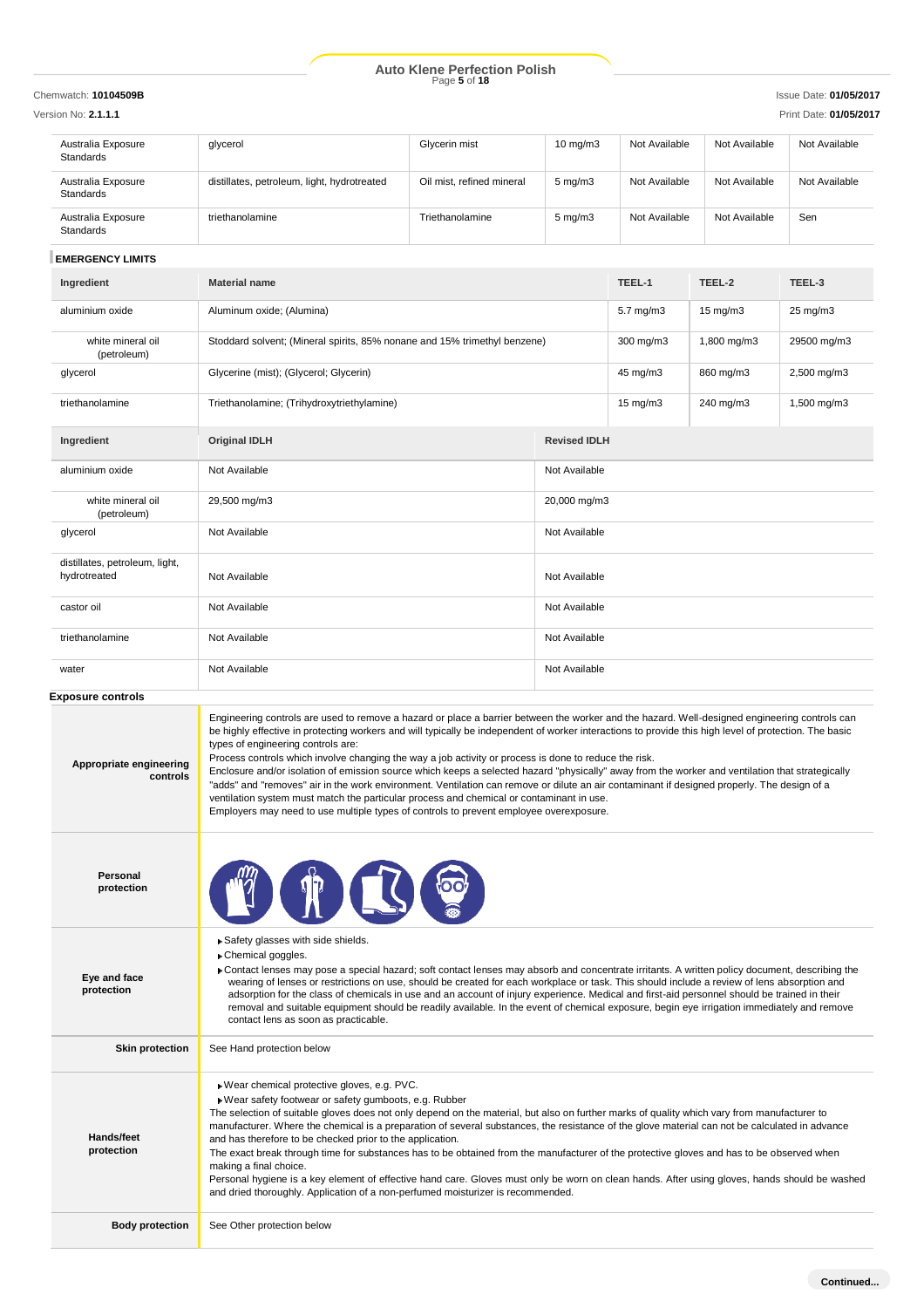## Page **5** of **18 Auto Klene Perfection Polish**

| Chemwatch: 10104509B<br>Version No: 2.1.1.1    |                                                                                                                                                                                                                                                                                                                                                                                                                                                                                                                                                                                                                                                                                                                                                                                                                                                                                                                                                 |                           |                     |                   |               | <b>Issue Date: 01/05/2017</b> |  |
|------------------------------------------------|-------------------------------------------------------------------------------------------------------------------------------------------------------------------------------------------------------------------------------------------------------------------------------------------------------------------------------------------------------------------------------------------------------------------------------------------------------------------------------------------------------------------------------------------------------------------------------------------------------------------------------------------------------------------------------------------------------------------------------------------------------------------------------------------------------------------------------------------------------------------------------------------------------------------------------------------------|---------------------------|---------------------|-------------------|---------------|-------------------------------|--|
|                                                |                                                                                                                                                                                                                                                                                                                                                                                                                                                                                                                                                                                                                                                                                                                                                                                                                                                                                                                                                 |                           |                     |                   |               | Print Date: 01/05/2017        |  |
| Australia Exposure<br>Standards                | glycerol                                                                                                                                                                                                                                                                                                                                                                                                                                                                                                                                                                                                                                                                                                                                                                                                                                                                                                                                        | Glycerin mist             | $10$ mg/m $3$       | Not Available     | Not Available | Not Available                 |  |
| Australia Exposure<br>Standards                | distillates, petroleum, light, hydrotreated                                                                                                                                                                                                                                                                                                                                                                                                                                                                                                                                                                                                                                                                                                                                                                                                                                                                                                     | Oil mist, refined mineral | $5 \text{ mg/m}$ 3  | Not Available     | Not Available | Not Available                 |  |
| Australia Exposure<br>Standards                | triethanolamine                                                                                                                                                                                                                                                                                                                                                                                                                                                                                                                                                                                                                                                                                                                                                                                                                                                                                                                                 | Triethanolamine           | $5 \text{ mg/m}$ 3  | Not Available     | Not Available | Sen                           |  |
| <b>EMERGENCY LIMITS</b>                        |                                                                                                                                                                                                                                                                                                                                                                                                                                                                                                                                                                                                                                                                                                                                                                                                                                                                                                                                                 |                           |                     |                   |               |                               |  |
| Ingredient                                     | <b>Material name</b>                                                                                                                                                                                                                                                                                                                                                                                                                                                                                                                                                                                                                                                                                                                                                                                                                                                                                                                            |                           |                     | TEEL-1            | TEEL-2        | TEEL-3                        |  |
| aluminium oxide                                | Aluminum oxide; (Alumina)                                                                                                                                                                                                                                                                                                                                                                                                                                                                                                                                                                                                                                                                                                                                                                                                                                                                                                                       |                           |                     | 5.7 mg/m3         | 15 mg/m $3$   | $25 \text{ mg/m}$ 3           |  |
| white mineral oil<br>(petroleum)               | Stoddard solvent; (Mineral spirits, 85% nonane and 15% trimethyl benzene)                                                                                                                                                                                                                                                                                                                                                                                                                                                                                                                                                                                                                                                                                                                                                                                                                                                                       |                           |                     | 300 mg/m3         | 1,800 mg/m3   | 29500 mg/m3                   |  |
| glycerol                                       | Glycerine (mist); (Glycerol; Glycerin)                                                                                                                                                                                                                                                                                                                                                                                                                                                                                                                                                                                                                                                                                                                                                                                                                                                                                                          |                           |                     | 45 mg/m3          | 860 mg/m3     | $2,500$ mg/m $3$              |  |
| triethanolamine                                | Triethanolamine; (Trihydroxytriethylamine)                                                                                                                                                                                                                                                                                                                                                                                                                                                                                                                                                                                                                                                                                                                                                                                                                                                                                                      |                           |                     | $15 \text{ mg/m}$ | 240 mg/m3     | 1,500 mg/m3                   |  |
| Ingredient                                     | <b>Original IDLH</b>                                                                                                                                                                                                                                                                                                                                                                                                                                                                                                                                                                                                                                                                                                                                                                                                                                                                                                                            |                           | <b>Revised IDLH</b> |                   |               |                               |  |
| aluminium oxide                                | Not Available                                                                                                                                                                                                                                                                                                                                                                                                                                                                                                                                                                                                                                                                                                                                                                                                                                                                                                                                   |                           | Not Available       |                   |               |                               |  |
| white mineral oil<br>(petroleum)               | 29,500 mg/m3                                                                                                                                                                                                                                                                                                                                                                                                                                                                                                                                                                                                                                                                                                                                                                                                                                                                                                                                    |                           | 20,000 mg/m3        |                   |               |                               |  |
| glycerol                                       | Not Available<br>Not Available                                                                                                                                                                                                                                                                                                                                                                                                                                                                                                                                                                                                                                                                                                                                                                                                                                                                                                                  |                           |                     |                   |               |                               |  |
| distillates, petroleum, light,<br>hydrotreated | Not Available                                                                                                                                                                                                                                                                                                                                                                                                                                                                                                                                                                                                                                                                                                                                                                                                                                                                                                                                   |                           | Not Available       |                   |               |                               |  |
| castor oil                                     | Not Available                                                                                                                                                                                                                                                                                                                                                                                                                                                                                                                                                                                                                                                                                                                                                                                                                                                                                                                                   |                           |                     | Not Available     |               |                               |  |
| triethanolamine                                | Not Available<br>Not Available                                                                                                                                                                                                                                                                                                                                                                                                                                                                                                                                                                                                                                                                                                                                                                                                                                                                                                                  |                           |                     |                   |               |                               |  |
| water                                          | Not Available<br>Not Available                                                                                                                                                                                                                                                                                                                                                                                                                                                                                                                                                                                                                                                                                                                                                                                                                                                                                                                  |                           |                     |                   |               |                               |  |
| <b>Exposure controls</b>                       |                                                                                                                                                                                                                                                                                                                                                                                                                                                                                                                                                                                                                                                                                                                                                                                                                                                                                                                                                 |                           |                     |                   |               |                               |  |
| Appropriate engineering<br>controls            | Engineering controls are used to remove a hazard or place a barrier between the worker and the hazard. Well-designed engineering controls can<br>be highly effective in protecting workers and will typically be independent of worker interactions to provide this high level of protection. The basic<br>types of engineering controls are:<br>Process controls which involve changing the way a job activity or process is done to reduce the risk.<br>Enclosure and/or isolation of emission source which keeps a selected hazard "physically" away from the worker and ventilation that strategically<br>"adds" and "removes" air in the work environment. Ventilation can remove or dilute an air contaminant if designed properly. The design of a<br>ventilation system must match the particular process and chemical or contaminant in use.<br>Employers may need to use multiple types of controls to prevent employee overexposure. |                           |                     |                   |               |                               |  |
| Personal<br>protection                         |                                                                                                                                                                                                                                                                                                                                                                                                                                                                                                                                                                                                                                                                                                                                                                                                                                                                                                                                                 |                           |                     |                   |               |                               |  |
| Eye and face<br>protection                     | Safety glasses with side shields.<br>▶ Chemical goggles.<br>Contact lenses may pose a special hazard; soft contact lenses may absorb and concentrate irritants. A written policy document, describing the<br>wearing of lenses or restrictions on use, should be created for each workplace or task. This should include a review of lens absorption and<br>adsorption for the class of chemicals in use and an account of injury experience. Medical and first-aid personnel should be trained in their<br>removal and suitable equipment should be readily available. In the event of chemical exposure, begin eye irrigation immediately and remove<br>contact lens as soon as practicable.                                                                                                                                                                                                                                                  |                           |                     |                   |               |                               |  |
| <b>Skin protection</b>                         | See Hand protection below                                                                                                                                                                                                                                                                                                                                                                                                                                                                                                                                                                                                                                                                                                                                                                                                                                                                                                                       |                           |                     |                   |               |                               |  |
| Hands/feet<br>protection                       | Wear chemical protective gloves, e.g. PVC.<br>Wear safety footwear or safety gumboots, e.g. Rubber<br>The selection of suitable gloves does not only depend on the material, but also on further marks of quality which vary from manufacturer to<br>manufacturer. Where the chemical is a preparation of several substances, the resistance of the glove material can not be calculated in advance<br>and has therefore to be checked prior to the application.<br>The exact break through time for substances has to be obtained from the manufacturer of the protective gloves and has to be observed when<br>making a final choice.<br>Personal hygiene is a key element of effective hand care. Gloves must only be worn on clean hands. After using gloves, hands should be washed                                                                                                                                                        |                           |                     |                   |               |                               |  |

**Body protection** See Other protection below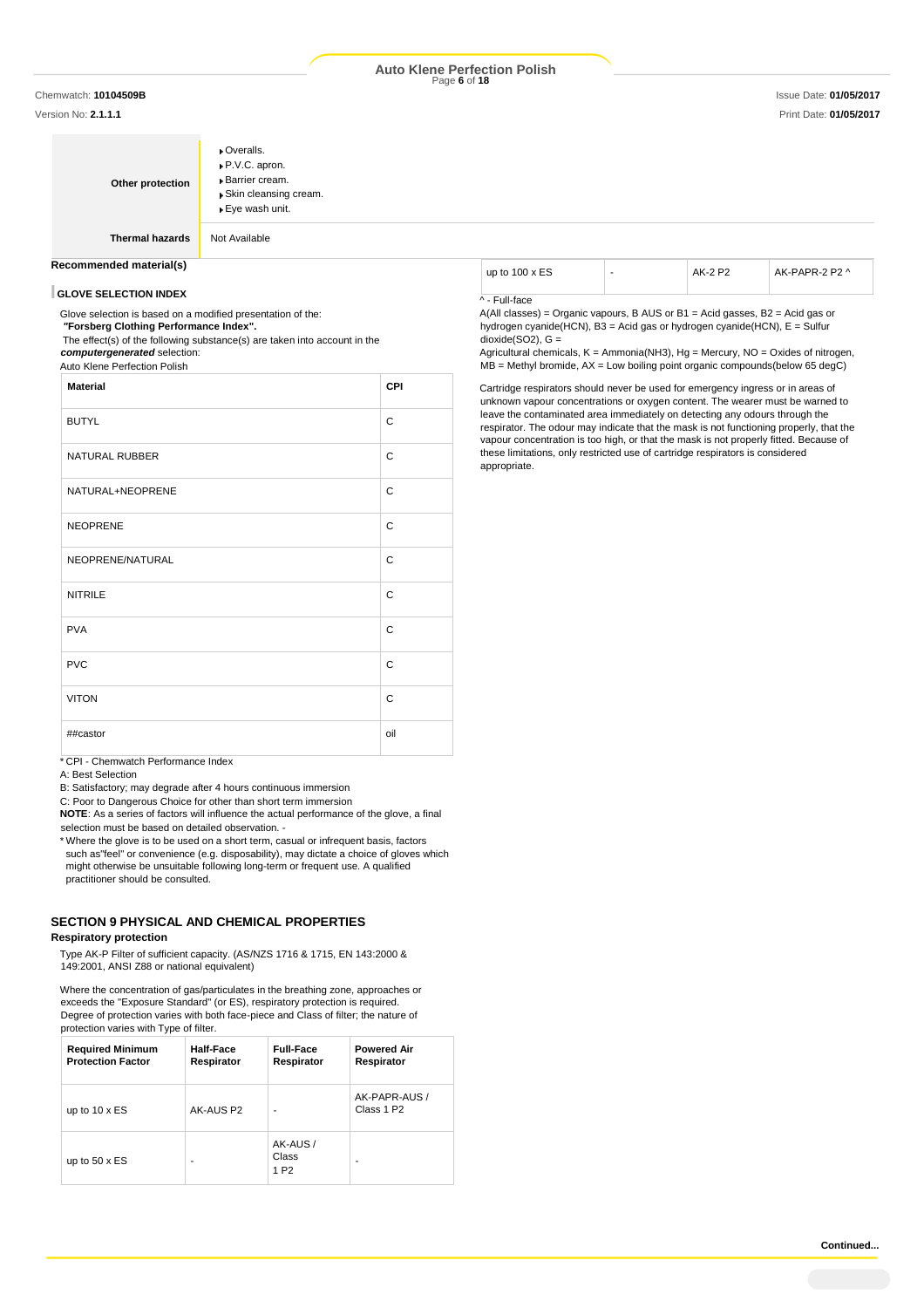## Page **6** of **18 Auto Klene Perfection Polish**

Version No: **2.1.1.1** Print Date: **01/05/2017**

**Other protection** Overalls. P.V.C. apron. Barrier cream. Skin cleansing cream. Eye wash unit. **Thermal hazards** Not Available

**Recommended material(s)**

### **GLOVE SELECTION INDEX**

Glove selection is based on a modified presentation of the:

*"***Forsberg Clothing Performance Index".** The effect(s) of the following substance(s) are taken into account in the

### *computergenerated* selection:

Auto Klene Perfection Polish

| <b>Material</b>  | CPI          |
|------------------|--------------|
| <b>BUTYL</b>     | $\mathsf{C}$ |
| NATURAL RUBBER   | C            |
| NATURAL+NEOPRENE | $\mathsf{C}$ |
| <b>NEOPRENE</b>  | C            |
| NEOPRENE/NATURAL | C            |
| <b>NITRILE</b>   | C            |
| <b>PVA</b>       | C            |
| <b>PVC</b>       | C            |
| <b>VITON</b>     | C            |
| ##castor         | oil          |

\* CPI - Chemwatch Performance Index

A: Best Selection

B: Satisfactory; may degrade after 4 hours continuous immersion

C: Poor to Dangerous Choice for other than short term immersion **NOTE**: As a series of factors will influence the actual performance of the glove, a final

selection must be based on detailed observation. - \* Where the glove is to be used on a short term, casual or infrequent basis, factors

such as"feel" or convenience (e.g. disposability), may dictate a choice of gloves which might otherwise be unsuitable following long-term or frequent use. A qualified practitioner should be consulted.

### **SECTION 9 PHYSICAL AND CHEMICAL PROPERTIES Respiratory protection**

Type AK-P Filter of sufficient capacity. (AS/NZS 1716 & 1715, EN 143:2000 & 149:2001, ANSI Z88 or national equivalent)

Where the concentration of gas/particulates in the breathing zone, approaches or exceeds the "Exposure Standard" (or ES), respiratory protection is required. Degree of protection varies with both face-piece and Class of filter; the nature of protection varies with Type of filter.

| <b>Required Minimum</b><br><b>Protection Factor</b> | <b>Half-Face</b><br>Respirator | <b>Full-Face</b><br>Respirator        | <b>Powered Air</b><br>Respirator        |
|-----------------------------------------------------|--------------------------------|---------------------------------------|-----------------------------------------|
| up to $10 \times ES$                                | AK-AUS P2                      | ٠                                     | AK-PAPR-AUS /<br>Class 1 P <sub>2</sub> |
| up to $50 \times ES$                                |                                | AK-AUS /<br>Class<br>1 P <sub>2</sub> | ۰                                       |

| up to 100 $\times$ ES | AK-2 P2 | AK-PAPR-2 P2 ^ |
|-----------------------|---------|----------------|
|                       |         |                |

^ - Full-face

A(All classes) = Organic vapours, B AUS or B1 = Acid gasses, B2 = Acid gas or hydrogen cyanide(HCN), B3 = Acid gas or hydrogen cyanide(HCN), E = Sulfur  $dioxide(SO2)$ , G =

Agricultural chemicals, K = Ammonia(NH3), Hg = Mercury, NO = Oxides of nitrogen, MB = Methyl bromide, AX = Low boiling point organic compounds(below 65 degC)

Cartridge respirators should never be used for emergency ingress or in areas of unknown vapour concentrations or oxygen content. The wearer must be warned to leave the contaminated area immediately on detecting any odours through the respirator. The odour may indicate that the mask is not functioning properly, that the vapour concentration is too high, or that the mask is not properly fitted. Because of these limitations, only restricted use of cartridge respirators is considered appropriate.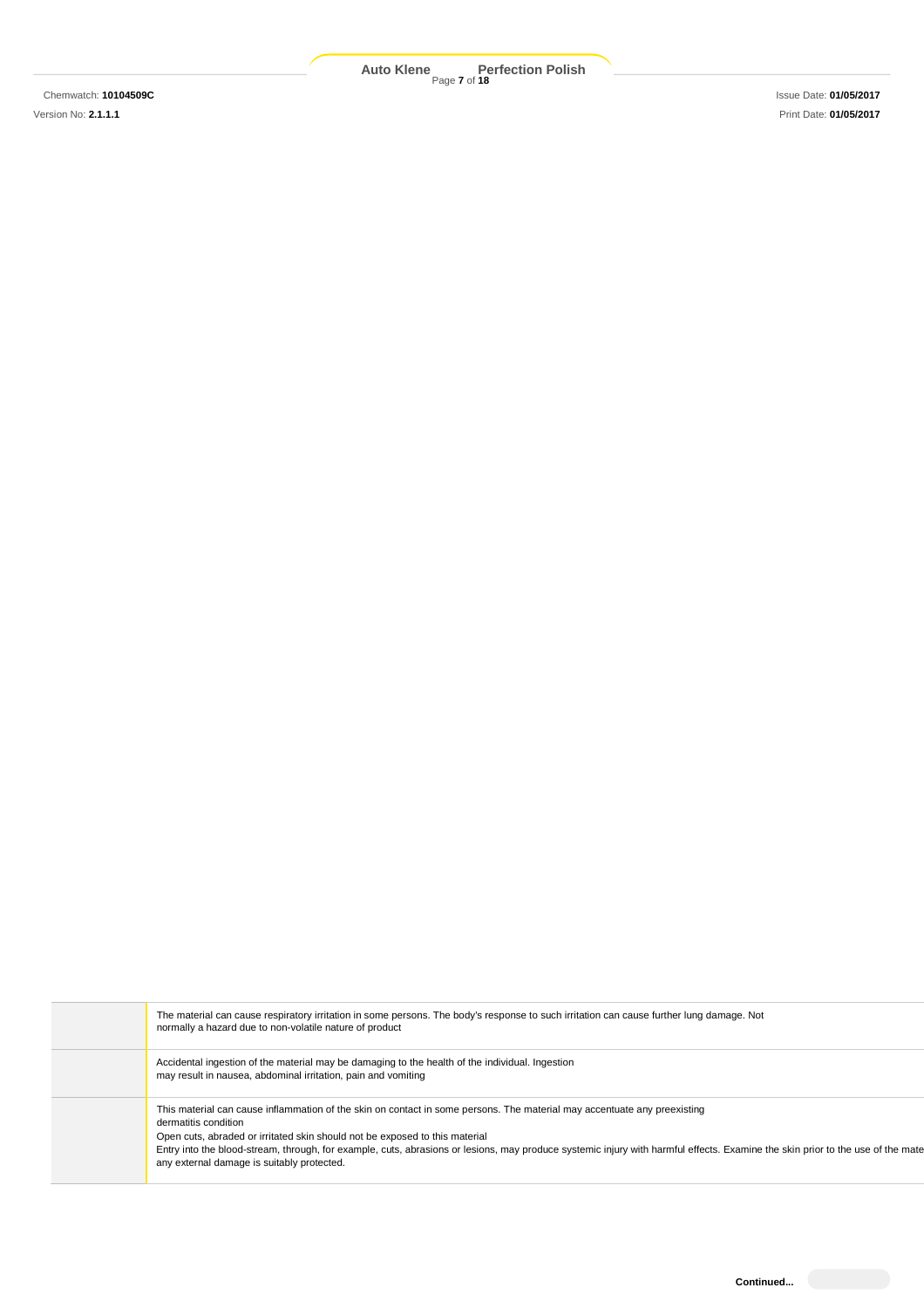Page **7** of **18 Auto Klene Perfection Polish**

Chemwatch: **10104509C** Issue Date: **01/05/2017** Version No: **2.1.1.1** Print Date: **01/05/2017**

| The material can cause respiratory irritation in some persons. The body's response to such irritation can cause further lung damage. Not<br>normally a hazard due to non-volatile nature of product                                                                                                                                                                                                                                                             |
|-----------------------------------------------------------------------------------------------------------------------------------------------------------------------------------------------------------------------------------------------------------------------------------------------------------------------------------------------------------------------------------------------------------------------------------------------------------------|
| Accidental ingestion of the material may be damaging to the health of the individual. Ingestion<br>may result in nausea, abdominal irritation, pain and vomiting                                                                                                                                                                                                                                                                                                |
| This material can cause inflammation of the skin on contact in some persons. The material may accentuate any preexisting<br>dermatitis condition<br>Open cuts, abraded or irritated skin should not be exposed to this material<br>Entry into the blood-stream, through, for example, cuts, abrasions or lesions, may produce systemic injury with harmful effects. Examine the skin prior to the use of the mate<br>any external damage is suitably protected. |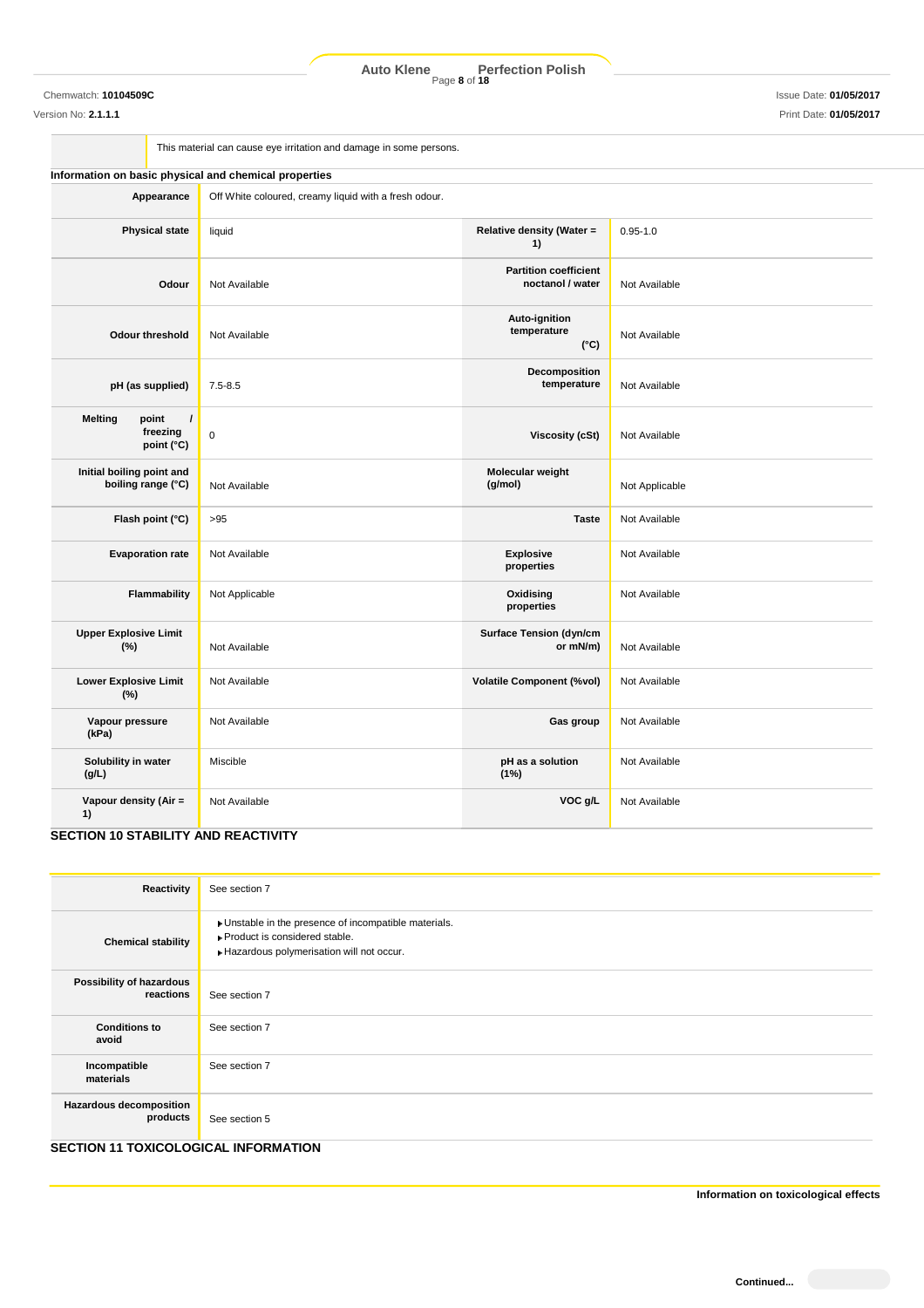Chemwatch: **10104509C** Issue Date: **01/05/2017**

Version No: **2.1.1.1** Print Date: **01/05/2017**

This material can cause eye irritation and damage in some persons.

| Information on basic physical and chemical properties         |                                                       |                                                  |                |  |
|---------------------------------------------------------------|-------------------------------------------------------|--------------------------------------------------|----------------|--|
| Appearance                                                    | Off White coloured, creamy liquid with a fresh odour. |                                                  |                |  |
| <b>Physical state</b>                                         | liquid                                                | Relative density (Water =<br>1)                  | $0.95 - 1.0$   |  |
| Odour                                                         | Not Available                                         | <b>Partition coefficient</b><br>noctanol / water | Not Available  |  |
| Odour threshold                                               | Not Available                                         | Auto-ignition<br>temperature<br>$(^{\circ}C)$    | Not Available  |  |
| pH (as supplied)                                              | $7.5 - 8.5$                                           | Decomposition<br>temperature                     | Not Available  |  |
| $\prime$<br><b>Melting</b><br>point<br>freezing<br>point (°C) | $\pmb{0}$                                             | <b>Viscosity (cSt)</b>                           | Not Available  |  |
| Initial boiling point and<br>boiling range (°C)               | Not Available                                         | Molecular weight<br>(g/mol)                      | Not Applicable |  |
| Flash point (°C)                                              | >95                                                   | <b>Taste</b>                                     | Not Available  |  |
| <b>Evaporation rate</b>                                       | Not Available                                         | <b>Explosive</b><br>properties                   | Not Available  |  |
| Flammability                                                  | Not Applicable                                        | Oxidising<br>properties                          | Not Available  |  |
| <b>Upper Explosive Limit</b><br>(%)                           | Not Available                                         | <b>Surface Tension (dyn/cm</b><br>or mN/m)       | Not Available  |  |
| <b>Lower Explosive Limit</b><br>(%)                           | Not Available                                         | <b>Volatile Component (%vol)</b>                 | Not Available  |  |
| Vapour pressure<br>(kPa)                                      | Not Available                                         | Gas group                                        | Not Available  |  |
| Solubility in water<br>(g/L)                                  | Miscible                                              | pH as a solution<br>(1%)                         | Not Available  |  |
| Vapour density (Air =<br>1)                                   | Not Available                                         | VOC g/L                                          | Not Available  |  |

### **SECTION 10 STABILITY AND REACTIVITY**

| Reactivity                                 | See section 7                                                                                                                        |
|--------------------------------------------|--------------------------------------------------------------------------------------------------------------------------------------|
| <b>Chemical stability</b>                  | • Unstable in the presence of incompatible materials.<br>▶ Product is considered stable.<br>Hazardous polymerisation will not occur. |
| Possibility of hazardous<br>reactions      | See section 7                                                                                                                        |
| <b>Conditions to</b><br>avoid              | See section 7                                                                                                                        |
| Incompatible<br>materials                  | See section 7                                                                                                                        |
| <b>Hazardous decomposition</b><br>products | See section 5                                                                                                                        |

### **SECTION 11 TOXICOLOGICAL INFORMATION**

**Information on toxicological effects**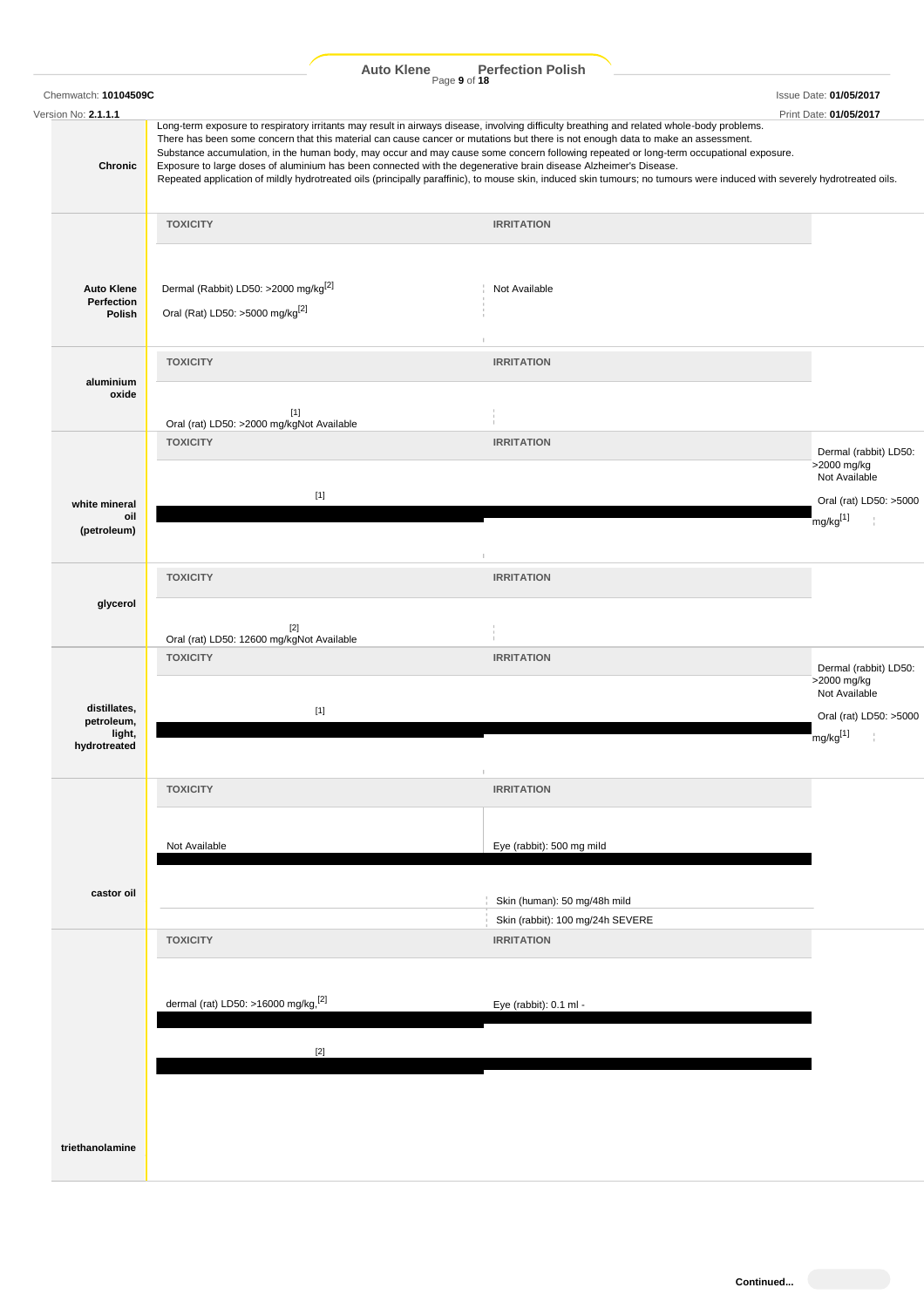|                                           | <b>Auto Klene</b>                                                                               | <b>Perfection Polish</b>                                                                                                                                                                                                                                                                                                                                                                                                                                                                                                                                                                                                                                                                                                 |                                                        |
|-------------------------------------------|-------------------------------------------------------------------------------------------------|--------------------------------------------------------------------------------------------------------------------------------------------------------------------------------------------------------------------------------------------------------------------------------------------------------------------------------------------------------------------------------------------------------------------------------------------------------------------------------------------------------------------------------------------------------------------------------------------------------------------------------------------------------------------------------------------------------------------------|--------------------------------------------------------|
| Chemwatch: 10104509C                      |                                                                                                 | Page 9 of 18                                                                                                                                                                                                                                                                                                                                                                                                                                                                                                                                                                                                                                                                                                             | Issue Date: 01/05/2017                                 |
| Version No: 2.1.1.1<br>Chronic            |                                                                                                 | Long-term exposure to respiratory irritants may result in airways disease, involving difficulty breathing and related whole-body problems.<br>There has been some concern that this material can cause cancer or mutations but there is not enough data to make an assessment.<br>Substance accumulation, in the human body, may occur and may cause some concern following repeated or long-term occupational exposure.<br>Exposure to large doses of aluminium has been connected with the degenerative brain disease Alzheimer's Disease.<br>Repeated application of mildly hydrotreated oils (principally paraffinic), to mouse skin, induced skin tumours; no tumours were induced with severely hydrotreated oils. | Print Date: 01/05/2017                                 |
|                                           | <b>TOXICITY</b>                                                                                 | <b>IRRITATION</b>                                                                                                                                                                                                                                                                                                                                                                                                                                                                                                                                                                                                                                                                                                        |                                                        |
| <b>Auto Klene</b><br>Perfection<br>Polish | Dermal (Rabbit) LD50: >2000 mg/kg <sup>[2]</sup><br>Oral (Rat) LD50: >5000 mg/kg <sup>[2]</sup> | Not Available                                                                                                                                                                                                                                                                                                                                                                                                                                                                                                                                                                                                                                                                                                            |                                                        |
| aluminium<br>oxide                        | <b>TOXICITY</b>                                                                                 | <b>IRRITATION</b>                                                                                                                                                                                                                                                                                                                                                                                                                                                                                                                                                                                                                                                                                                        |                                                        |
|                                           | $[1]$<br>Oral (rat) LD50: >2000 mg/kgNot Available                                              |                                                                                                                                                                                                                                                                                                                                                                                                                                                                                                                                                                                                                                                                                                                          |                                                        |
|                                           | <b>TOXICITY</b>                                                                                 | <b>IRRITATION</b>                                                                                                                                                                                                                                                                                                                                                                                                                                                                                                                                                                                                                                                                                                        | Dermal (rabbit) LD50:<br>>2000 mg/kg<br>Not Available  |
| white mineral<br>oil<br>(petroleum)       | $[1]$                                                                                           |                                                                                                                                                                                                                                                                                                                                                                                                                                                                                                                                                                                                                                                                                                                          | Oral (rat) LD50: >5000<br>mg/kg <sup>[1]</sup>         |
|                                           | <b>TOXICITY</b>                                                                                 | <b>IRRITATION</b>                                                                                                                                                                                                                                                                                                                                                                                                                                                                                                                                                                                                                                                                                                        |                                                        |
| glycerol                                  | $[2]$                                                                                           |                                                                                                                                                                                                                                                                                                                                                                                                                                                                                                                                                                                                                                                                                                                          |                                                        |
|                                           | Oral (rat) LD50: 12600 mg/kgNot Available<br><b>TOXICITY</b>                                    | <b>IRRITATION</b>                                                                                                                                                                                                                                                                                                                                                                                                                                                                                                                                                                                                                                                                                                        | Dermal (rabbit) LD50:                                  |
| distillates,                              | $[1]$                                                                                           |                                                                                                                                                                                                                                                                                                                                                                                                                                                                                                                                                                                                                                                                                                                          | >2000 mg/kg<br>Not Available<br>Oral (rat) LD50: >5000 |
| petroleum,<br>light,<br>hydrotreated      |                                                                                                 |                                                                                                                                                                                                                                                                                                                                                                                                                                                                                                                                                                                                                                                                                                                          | $mg/kg^{[1]}$                                          |
|                                           | <b>TOXICITY</b>                                                                                 | $\mathbb{L}$<br><b>IRRITATION</b>                                                                                                                                                                                                                                                                                                                                                                                                                                                                                                                                                                                                                                                                                        |                                                        |
|                                           | Not Available                                                                                   | Eye (rabbit): 500 mg mild                                                                                                                                                                                                                                                                                                                                                                                                                                                                                                                                                                                                                                                                                                |                                                        |
|                                           |                                                                                                 |                                                                                                                                                                                                                                                                                                                                                                                                                                                                                                                                                                                                                                                                                                                          |                                                        |
| castor oil                                |                                                                                                 | Skin (human): 50 mg/48h mild                                                                                                                                                                                                                                                                                                                                                                                                                                                                                                                                                                                                                                                                                             |                                                        |
|                                           |                                                                                                 | Skin (rabbit): 100 mg/24h SEVERE                                                                                                                                                                                                                                                                                                                                                                                                                                                                                                                                                                                                                                                                                         |                                                        |
|                                           | <b>TOXICITY</b>                                                                                 | <b>IRRITATION</b>                                                                                                                                                                                                                                                                                                                                                                                                                                                                                                                                                                                                                                                                                                        |                                                        |
|                                           |                                                                                                 |                                                                                                                                                                                                                                                                                                                                                                                                                                                                                                                                                                                                                                                                                                                          |                                                        |
|                                           | dermal (rat) LD50: >16000 mg/kg, <sup>[2]</sup>                                                 | Eye (rabbit): 0.1 ml -                                                                                                                                                                                                                                                                                                                                                                                                                                                                                                                                                                                                                                                                                                   |                                                        |
|                                           | $[2]$                                                                                           |                                                                                                                                                                                                                                                                                                                                                                                                                                                                                                                                                                                                                                                                                                                          |                                                        |
|                                           |                                                                                                 |                                                                                                                                                                                                                                                                                                                                                                                                                                                                                                                                                                                                                                                                                                                          |                                                        |
|                                           |                                                                                                 |                                                                                                                                                                                                                                                                                                                                                                                                                                                                                                                                                                                                                                                                                                                          |                                                        |
| triethanolamine                           |                                                                                                 |                                                                                                                                                                                                                                                                                                                                                                                                                                                                                                                                                                                                                                                                                                                          |                                                        |
|                                           |                                                                                                 |                                                                                                                                                                                                                                                                                                                                                                                                                                                                                                                                                                                                                                                                                                                          |                                                        |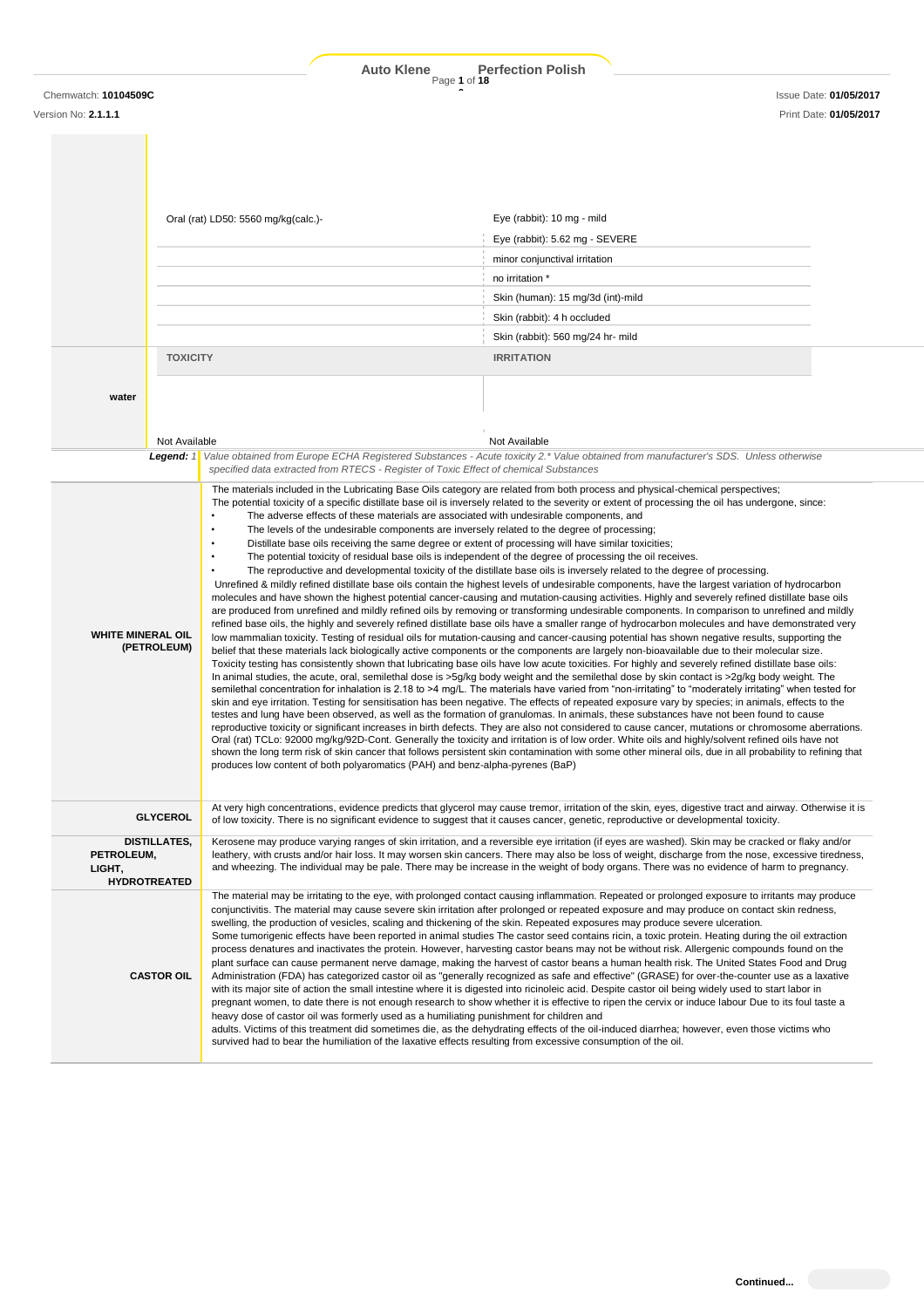Page **1 0** of **18 Auto Klene Perfection Polish**

Chemwatch: **10104509C** Issue Date: **01/05/2017** Version No: **2.1.1.1** Print Date: **01/05/2017**

|                      | Oral (rat) LD50: 5560 mg/kg(calc.)-                                                                                                                                                                                                                       |                                                                                         | Eye (rabbit): 10 mg - mild<br>Eye (rabbit): 5.62 mg - SEVERE<br>minor conjunctival irritation<br>no irritation *<br>Skin (human): 15 mg/3d (int)-mild                                                                                                                                                                                                                                                                                                                                                                                                                                                                                                                                                                                                                                                                                                                                                                                                                                                                                                                                                                                                                                                                                                                                                                                                                                                                                                                                                                                                                                                                                                                                                                                                                                                                                                                                                                                                                                                                                                                                                                                                                                                                                                                                                                                                                                                                                                                                                                                                                                                                                                                                                                                                                                                                                                                                     |  |  |
|----------------------|-----------------------------------------------------------------------------------------------------------------------------------------------------------------------------------------------------------------------------------------------------------|-----------------------------------------------------------------------------------------|-------------------------------------------------------------------------------------------------------------------------------------------------------------------------------------------------------------------------------------------------------------------------------------------------------------------------------------------------------------------------------------------------------------------------------------------------------------------------------------------------------------------------------------------------------------------------------------------------------------------------------------------------------------------------------------------------------------------------------------------------------------------------------------------------------------------------------------------------------------------------------------------------------------------------------------------------------------------------------------------------------------------------------------------------------------------------------------------------------------------------------------------------------------------------------------------------------------------------------------------------------------------------------------------------------------------------------------------------------------------------------------------------------------------------------------------------------------------------------------------------------------------------------------------------------------------------------------------------------------------------------------------------------------------------------------------------------------------------------------------------------------------------------------------------------------------------------------------------------------------------------------------------------------------------------------------------------------------------------------------------------------------------------------------------------------------------------------------------------------------------------------------------------------------------------------------------------------------------------------------------------------------------------------------------------------------------------------------------------------------------------------------------------------------------------------------------------------------------------------------------------------------------------------------------------------------------------------------------------------------------------------------------------------------------------------------------------------------------------------------------------------------------------------------------------------------------------------------------------------------------------------------|--|--|
|                      |                                                                                                                                                                                                                                                           |                                                                                         | Skin (rabbit): 4 h occluded                                                                                                                                                                                                                                                                                                                                                                                                                                                                                                                                                                                                                                                                                                                                                                                                                                                                                                                                                                                                                                                                                                                                                                                                                                                                                                                                                                                                                                                                                                                                                                                                                                                                                                                                                                                                                                                                                                                                                                                                                                                                                                                                                                                                                                                                                                                                                                                                                                                                                                                                                                                                                                                                                                                                                                                                                                                               |  |  |
|                      |                                                                                                                                                                                                                                                           |                                                                                         | Skin (rabbit): 560 mg/24 hr- mild                                                                                                                                                                                                                                                                                                                                                                                                                                                                                                                                                                                                                                                                                                                                                                                                                                                                                                                                                                                                                                                                                                                                                                                                                                                                                                                                                                                                                                                                                                                                                                                                                                                                                                                                                                                                                                                                                                                                                                                                                                                                                                                                                                                                                                                                                                                                                                                                                                                                                                                                                                                                                                                                                                                                                                                                                                                         |  |  |
| water                | <b>TOXICITY</b><br>Not Available                                                                                                                                                                                                                          |                                                                                         | <b>IRRITATION</b><br>Not Available                                                                                                                                                                                                                                                                                                                                                                                                                                                                                                                                                                                                                                                                                                                                                                                                                                                                                                                                                                                                                                                                                                                                                                                                                                                                                                                                                                                                                                                                                                                                                                                                                                                                                                                                                                                                                                                                                                                                                                                                                                                                                                                                                                                                                                                                                                                                                                                                                                                                                                                                                                                                                                                                                                                                                                                                                                                        |  |  |
|                      | Legend: 1                                                                                                                                                                                                                                                 | specified data extracted from RTECS - Register of Toxic Effect of chemical Substances   | Value obtained from Europe ECHA Registered Substances - Acute toxicity 2.* Value obtained from manufacturer's SDS. Unless otherwise                                                                                                                                                                                                                                                                                                                                                                                                                                                                                                                                                                                                                                                                                                                                                                                                                                                                                                                                                                                                                                                                                                                                                                                                                                                                                                                                                                                                                                                                                                                                                                                                                                                                                                                                                                                                                                                                                                                                                                                                                                                                                                                                                                                                                                                                                                                                                                                                                                                                                                                                                                                                                                                                                                                                                       |  |  |
|                      | The adverse effects of these materials are associated with undesirable components, and<br>$\bullet$<br>$\bullet$<br>$\bullet$<br><b>WHITE MINERAL OIL</b><br>(PETROLEUM)<br>produces low content of both polyaromatics (PAH) and benz-alpha-pyrenes (BaP) |                                                                                         | The materials included in the Lubricating Base Oils category are related from both process and physical-chemical perspectives;<br>The potential toxicity of a specific distillate base oil is inversely related to the severity or extent of processing the oil has undergone, since:<br>The levels of the undesirable components are inversely related to the degree of processing;<br>Distillate base oils receiving the same degree or extent of processing will have similar toxicities;<br>The potential toxicity of residual base oils is independent of the degree of processing the oil receives.<br>The reproductive and developmental toxicity of the distillate base oils is inversely related to the degree of processing.<br>Unrefined & mildly refined distillate base oils contain the highest levels of undesirable components, have the largest variation of hydrocarbon<br>molecules and have shown the highest potential cancer-causing and mutation-causing activities. Highly and severely refined distillate base oils<br>are produced from unrefined and mildly refined oils by removing or transforming undesirable components. In comparison to unrefined and mildly<br>refined base oils, the highly and severely refined distillate base oils have a smaller range of hydrocarbon molecules and have demonstrated very<br>low mammalian toxicity. Testing of residual oils for mutation-causing and cancer-causing potential has shown negative results, supporting the<br>belief that these materials lack biologically active components or the components are largely non-bioavailable due to their molecular size.<br>Toxicity testing has consistently shown that lubricating base oils have low acute toxicities. For highly and severely refined distillate base oils:<br>In animal studies, the acute, oral, semilethal dose is >5g/kg body weight and the semilethal dose by skin contact is >2g/kg body weight. The<br>semilethal concentration for inhalation is 2.18 to >4 mg/L. The materials have varied from "non-irritating" to "moderately irritating" when tested for<br>skin and eye irritation. Testing for sensitisation has been negative. The effects of repeated exposure vary by species; in animals, effects to the<br>testes and lung have been observed, as well as the formation of granulomas. In animals, these substances have not been found to cause<br>reproductive toxicity or significant increases in birth defects. They are also not considered to cause cancer, mutations or chromosome aberrations.<br>Oral (rat) TCLo: 92000 mg/kg/92D-Cont. Generally the toxicity and irritation is of low order. White oils and highly/solvent refined oils have not<br>shown the long term risk of skin cancer that follows persistent skin contamination with some other mineral oils, due in all probability to refining that |  |  |
|                      | <b>GLYCEROL</b>                                                                                                                                                                                                                                           |                                                                                         | At very high concentrations, evidence predicts that glycerol may cause tremor, irritation of the skin, eyes, digestive tract and airway. Otherwise it is<br>of low toxicity. There is no significant evidence to suggest that it causes cancer, genetic, reproductive or developmental toxicity.                                                                                                                                                                                                                                                                                                                                                                                                                                                                                                                                                                                                                                                                                                                                                                                                                                                                                                                                                                                                                                                                                                                                                                                                                                                                                                                                                                                                                                                                                                                                                                                                                                                                                                                                                                                                                                                                                                                                                                                                                                                                                                                                                                                                                                                                                                                                                                                                                                                                                                                                                                                          |  |  |
| PETROLEUM,<br>LIGHT, | DISTILLATES,<br><b>HYDROTREATED</b>                                                                                                                                                                                                                       |                                                                                         | Kerosene may produce varying ranges of skin irritation, and a reversible eye irritation (if eyes are washed). Skin may be cracked or flaky and/or<br>leathery, with crusts and/or hair loss. It may worsen skin cancers. There may also be loss of weight, discharge from the nose, excessive tiredness,<br>and wheezing. The individual may be pale. There may be increase in the weight of body organs. There was no evidence of harm to pregnancy.                                                                                                                                                                                                                                                                                                                                                                                                                                                                                                                                                                                                                                                                                                                                                                                                                                                                                                                                                                                                                                                                                                                                                                                                                                                                                                                                                                                                                                                                                                                                                                                                                                                                                                                                                                                                                                                                                                                                                                                                                                                                                                                                                                                                                                                                                                                                                                                                                                     |  |  |
|                      | <b>CASTOR OIL</b>                                                                                                                                                                                                                                         | heavy dose of castor oil was formerly used as a humiliating punishment for children and | The material may be irritating to the eye, with prolonged contact causing inflammation. Repeated or prolonged exposure to irritants may produce<br>conjunctivitis. The material may cause severe skin irritation after prolonged or repeated exposure and may produce on contact skin redness,<br>swelling, the production of vesicles, scaling and thickening of the skin. Repeated exposures may produce severe ulceration.<br>Some tumorigenic effects have been reported in animal studies The castor seed contains ricin, a toxic protein. Heating during the oil extraction<br>process denatures and inactivates the protein. However, harvesting castor beans may not be without risk. Allergenic compounds found on the<br>plant surface can cause permanent nerve damage, making the harvest of castor beans a human health risk. The United States Food and Drug<br>Administration (FDA) has categorized castor oil as "generally recognized as safe and effective" (GRASE) for over-the-counter use as a laxative<br>with its major site of action the small intestine where it is digested into ricinoleic acid. Despite castor oil being widely used to start labor in<br>pregnant women, to date there is not enough research to show whether it is effective to ripen the cervix or induce labour Due to its foul taste a<br>adults. Victims of this treatment did sometimes die, as the dehydrating effects of the oil-induced diarrhea; however, even those victims who<br>survived had to bear the humiliation of the laxative effects resulting from excessive consumption of the oil.                                                                                                                                                                                                                                                                                                                                                                                                                                                                                                                                                                                                                                                                                                                                                                                                                                                                                                                                                                                                                                                                                                                                                                                                                                                                                 |  |  |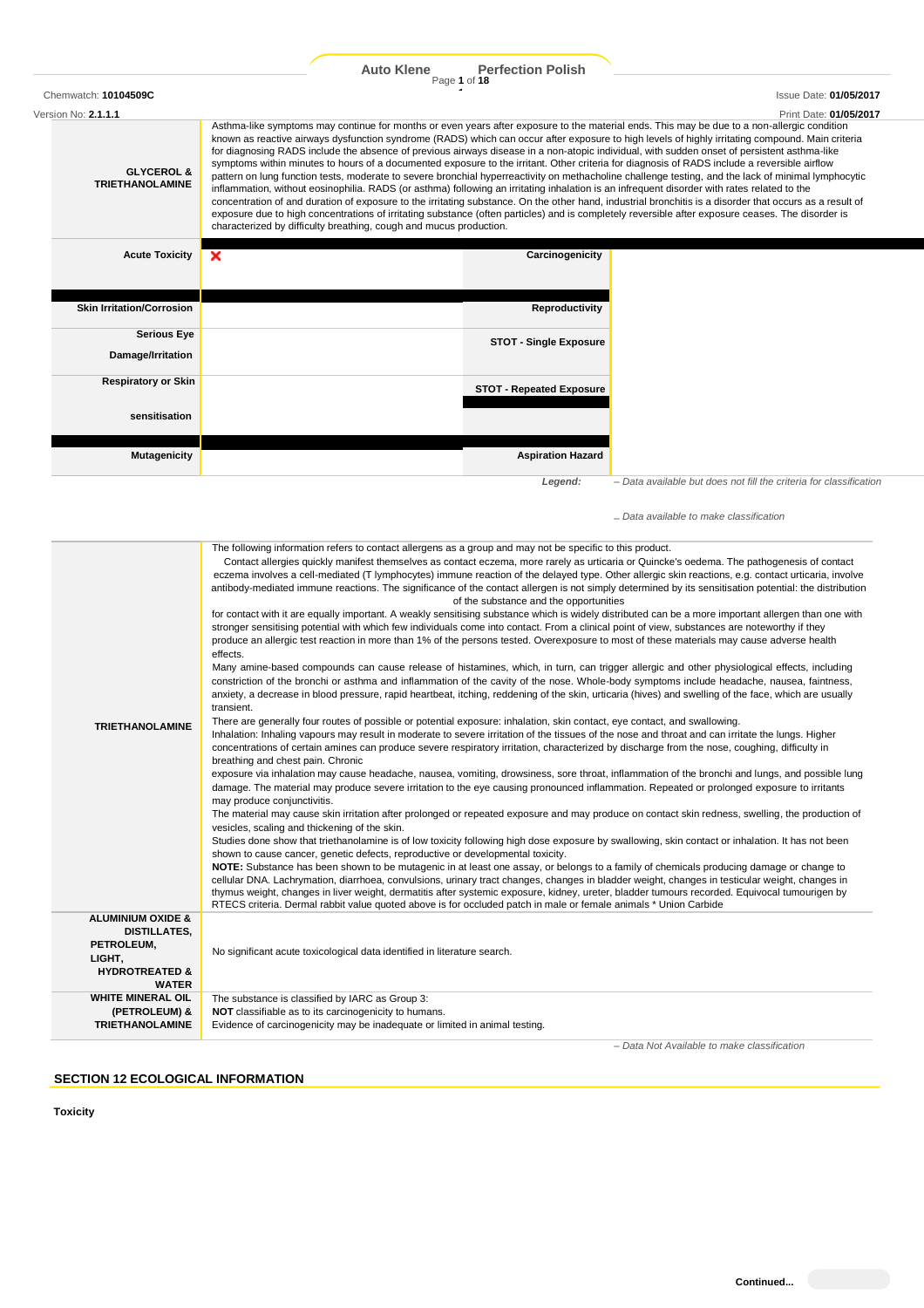|                                                 | <b>Auto Klene</b>                                                                                                                                                                                                                                                                                                                                                                                                                                                                                                                                                                                                                                                                                                                                                                                                                                                                                                                                                                                                                                                                                                                                                                                                                                                                                                                                                                                                                                                                                                                                                                                                                                                                                                                                  | <b>Perfection Polish</b>               |                                                                                                                                                                                                                                                                                                                                                                                                                                                                                                                                                                                                                                                                                                                                                                                                                                                                                                                            |
|-------------------------------------------------|----------------------------------------------------------------------------------------------------------------------------------------------------------------------------------------------------------------------------------------------------------------------------------------------------------------------------------------------------------------------------------------------------------------------------------------------------------------------------------------------------------------------------------------------------------------------------------------------------------------------------------------------------------------------------------------------------------------------------------------------------------------------------------------------------------------------------------------------------------------------------------------------------------------------------------------------------------------------------------------------------------------------------------------------------------------------------------------------------------------------------------------------------------------------------------------------------------------------------------------------------------------------------------------------------------------------------------------------------------------------------------------------------------------------------------------------------------------------------------------------------------------------------------------------------------------------------------------------------------------------------------------------------------------------------------------------------------------------------------------------------|----------------------------------------|----------------------------------------------------------------------------------------------------------------------------------------------------------------------------------------------------------------------------------------------------------------------------------------------------------------------------------------------------------------------------------------------------------------------------------------------------------------------------------------------------------------------------------------------------------------------------------------------------------------------------------------------------------------------------------------------------------------------------------------------------------------------------------------------------------------------------------------------------------------------------------------------------------------------------|
| Chemwatch: 10104509C                            | Page 1 of 18                                                                                                                                                                                                                                                                                                                                                                                                                                                                                                                                                                                                                                                                                                                                                                                                                                                                                                                                                                                                                                                                                                                                                                                                                                                                                                                                                                                                                                                                                                                                                                                                                                                                                                                                       |                                        | <b>Issue Date: 01/05/2017</b>                                                                                                                                                                                                                                                                                                                                                                                                                                                                                                                                                                                                                                                                                                                                                                                                                                                                                              |
| Version No: 2.1.1.1                             |                                                                                                                                                                                                                                                                                                                                                                                                                                                                                                                                                                                                                                                                                                                                                                                                                                                                                                                                                                                                                                                                                                                                                                                                                                                                                                                                                                                                                                                                                                                                                                                                                                                                                                                                                    |                                        | Print Date: 01/05/2017                                                                                                                                                                                                                                                                                                                                                                                                                                                                                                                                                                                                                                                                                                                                                                                                                                                                                                     |
| <b>GLYCEROL &amp;</b><br><b>TRIETHANOLAMINE</b> | Asthma-like symptoms may continue for months or even years after exposure to the material ends. This may be due to a non-allergic condition<br>for diagnosing RADS include the absence of previous airways disease in a non-atopic individual, with sudden onset of persistent asthma-like<br>symptoms within minutes to hours of a documented exposure to the irritant. Other criteria for diagnosis of RADS include a reversible airflow<br>inflammation, without eosinophilia. RADS (or asthma) following an irritating inhalation is an infrequent disorder with rates related to the<br>exposure due to high concentrations of irritating substance (often particles) and is completely reversible after exposure ceases. The disorder is<br>characterized by difficulty breathing, cough and mucus production.                                                                                                                                                                                                                                                                                                                                                                                                                                                                                                                                                                                                                                                                                                                                                                                                                                                                                                                               |                                        | known as reactive airways dysfunction syndrome (RADS) which can occur after exposure to high levels of highly irritating compound. Main criteria<br>pattern on lung function tests, moderate to severe bronchial hyperreactivity on methacholine challenge testing, and the lack of minimal lymphocytic<br>concentration of and duration of exposure to the irritating substance. On the other hand, industrial bronchitis is a disorder that occurs as a result of                                                                                                                                                                                                                                                                                                                                                                                                                                                        |
| <b>Acute Toxicity</b>                           | ×                                                                                                                                                                                                                                                                                                                                                                                                                                                                                                                                                                                                                                                                                                                                                                                                                                                                                                                                                                                                                                                                                                                                                                                                                                                                                                                                                                                                                                                                                                                                                                                                                                                                                                                                                  | Carcinogenicity                        |                                                                                                                                                                                                                                                                                                                                                                                                                                                                                                                                                                                                                                                                                                                                                                                                                                                                                                                            |
| <b>Skin Irritation/Corrosion</b>                |                                                                                                                                                                                                                                                                                                                                                                                                                                                                                                                                                                                                                                                                                                                                                                                                                                                                                                                                                                                                                                                                                                                                                                                                                                                                                                                                                                                                                                                                                                                                                                                                                                                                                                                                                    | Reproductivity                         |                                                                                                                                                                                                                                                                                                                                                                                                                                                                                                                                                                                                                                                                                                                                                                                                                                                                                                                            |
| <b>Serious Eye</b>                              |                                                                                                                                                                                                                                                                                                                                                                                                                                                                                                                                                                                                                                                                                                                                                                                                                                                                                                                                                                                                                                                                                                                                                                                                                                                                                                                                                                                                                                                                                                                                                                                                                                                                                                                                                    | <b>STOT - Single Exposure</b>          |                                                                                                                                                                                                                                                                                                                                                                                                                                                                                                                                                                                                                                                                                                                                                                                                                                                                                                                            |
| Damage/Irritation                               |                                                                                                                                                                                                                                                                                                                                                                                                                                                                                                                                                                                                                                                                                                                                                                                                                                                                                                                                                                                                                                                                                                                                                                                                                                                                                                                                                                                                                                                                                                                                                                                                                                                                                                                                                    |                                        |                                                                                                                                                                                                                                                                                                                                                                                                                                                                                                                                                                                                                                                                                                                                                                                                                                                                                                                            |
| <b>Respiratory or Skin</b>                      |                                                                                                                                                                                                                                                                                                                                                                                                                                                                                                                                                                                                                                                                                                                                                                                                                                                                                                                                                                                                                                                                                                                                                                                                                                                                                                                                                                                                                                                                                                                                                                                                                                                                                                                                                    | <b>STOT - Repeated Exposure</b>        |                                                                                                                                                                                                                                                                                                                                                                                                                                                                                                                                                                                                                                                                                                                                                                                                                                                                                                                            |
| sensitisation                                   |                                                                                                                                                                                                                                                                                                                                                                                                                                                                                                                                                                                                                                                                                                                                                                                                                                                                                                                                                                                                                                                                                                                                                                                                                                                                                                                                                                                                                                                                                                                                                                                                                                                                                                                                                    |                                        |                                                                                                                                                                                                                                                                                                                                                                                                                                                                                                                                                                                                                                                                                                                                                                                                                                                                                                                            |
| <b>Mutagenicity</b>                             |                                                                                                                                                                                                                                                                                                                                                                                                                                                                                                                                                                                                                                                                                                                                                                                                                                                                                                                                                                                                                                                                                                                                                                                                                                                                                                                                                                                                                                                                                                                                                                                                                                                                                                                                                    | <b>Aspiration Hazard</b>               |                                                                                                                                                                                                                                                                                                                                                                                                                                                                                                                                                                                                                                                                                                                                                                                                                                                                                                                            |
|                                                 |                                                                                                                                                                                                                                                                                                                                                                                                                                                                                                                                                                                                                                                                                                                                                                                                                                                                                                                                                                                                                                                                                                                                                                                                                                                                                                                                                                                                                                                                                                                                                                                                                                                                                                                                                    | Legend:                                | - Data available but does not fill the criteria for classification                                                                                                                                                                                                                                                                                                                                                                                                                                                                                                                                                                                                                                                                                                                                                                                                                                                         |
|                                                 |                                                                                                                                                                                                                                                                                                                                                                                                                                                                                                                                                                                                                                                                                                                                                                                                                                                                                                                                                                                                                                                                                                                                                                                                                                                                                                                                                                                                                                                                                                                                                                                                                                                                                                                                                    |                                        | _ Data available to make classification                                                                                                                                                                                                                                                                                                                                                                                                                                                                                                                                                                                                                                                                                                                                                                                                                                                                                    |
| <b>TRIETHANOLAMINE</b>                          | The following information refers to contact allergens as a group and may not be specific to this product.<br>stronger sensitising potential with which few individuals come into contact. From a clinical point of view, substances are noteworthy if they<br>produce an allergic test reaction in more than 1% of the persons tested. Overexposure to most of these materials may cause adverse health<br>effects.<br>Many amine-based compounds can cause release of histamines, which, in turn, can trigger allergic and other physiological effects, including<br>constriction of the bronchi or asthma and inflammation of the cavity of the nose. Whole-body symptoms include headache, nausea, faintness,<br>anxiety, a decrease in blood pressure, rapid heartbeat, itching, reddening of the skin, urticaria (hives) and swelling of the face, which are usually<br>transient.<br>There are generally four routes of possible or potential exposure: inhalation, skin contact, eye contact, and swallowing.<br>Inhalation: Inhaling vapours may result in moderate to severe irritation of the tissues of the nose and throat and can irritate the lungs. Higher<br>concentrations of certain amines can produce severe respiratory irritation, characterized by discharge from the nose, coughing, difficulty in<br>breathing and chest pain. Chronic<br>damage. The material may produce severe irritation to the eye causing pronounced inflammation. Repeated or prolonged exposure to irritants<br>may produce conjunctivitis.<br>vesicles, scaling and thickening of the skin.<br>Studies done show that triethanolamine is of low toxicity following high dose exposure by swallowing, skin contact or inhalation. It has not been | of the substance and the opportunities | Contact allergies quickly manifest themselves as contact eczema, more rarely as urticaria or Quincke's oedema. The pathogenesis of contact<br>eczema involves a cell-mediated (T lymphocytes) immune reaction of the delayed type. Other allergic skin reactions, e.g. contact urticaria, involve<br>antibody-mediated immune reactions. The significance of the contact allergen is not simply determined by its sensitisation potential: the distribution<br>for contact with it are equally important. A weakly sensitising substance which is widely distributed can be a more important allergen than one with<br>exposure via inhalation may cause headache, nausea, vomiting, drowsiness, sore throat, inflammation of the bronchi and lungs, and possible lung<br>The material may cause skin irritation after prolonged or repeated exposure and may produce on contact skin redness, swelling, the production of |

shown to cause cancer, genetic defects, reproductive or developmental toxicity.

No significant acute toxicological data identified in literature search.

Evidence of carcinogenicity may be inadequate or limited in animal testing.

The substance is classified by IARC as Group 3: **NOT** classifiable as to its carcinogenicity to humans.

**NOTE:** Substance has been shown to be mutagenic in at least one assay, or belongs to a family of chemicals producing damage or change to cellular DNA. Lachrymation, diarrhoea, convulsions, urinary tract changes, changes in bladder weight, changes in testicular weight, changes in thymus weight, changes in liver weight, dermatitis after systemic exposure, kidney, ureter, bladder tumours recorded. Equivocal tumourigen by

RTECS criteria. Dermal rabbit value quoted above is for occluded patch in male or female animals \* Union Carbide

### **SECTION 12 ECOLOGICAL INFORMATION**

**WATER**

**ALUMINIUM OXIDE & DISTILLATES,**

**HYDROTREATED &**

**WHITE MINERAL OIL (PETROLEUM) & TRIETHANOLAMINE**

**PETROLEUM, LIGHT,**

**Toxicity**

*– Data Not Available to make classification*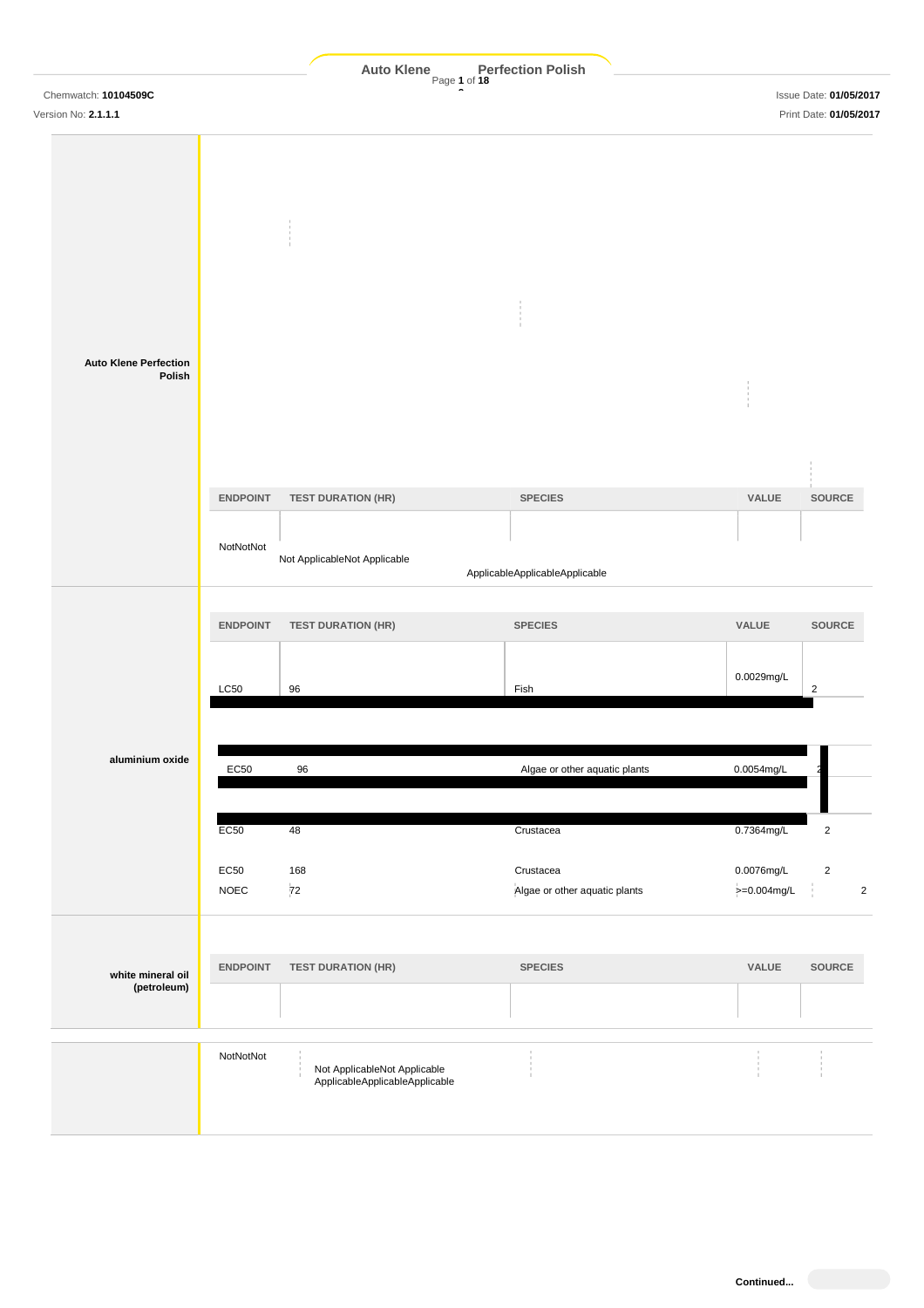|                                             |                 | Auto Klene Page 1 of 18<br>Page 1 of 18 |                                |               |                                                  |
|---------------------------------------------|-----------------|-----------------------------------------|--------------------------------|---------------|--------------------------------------------------|
| Chemwatch: 10104509C<br>Version No: 2.1.1.1 |                 |                                         |                                |               | Issue Date: 01/05/2017<br>Print Date: 01/05/2017 |
|                                             |                 |                                         |                                |               |                                                  |
| <b>Auto Klene Perfection</b><br>Polish      |                 |                                         |                                |               |                                                  |
|                                             |                 |                                         |                                |               |                                                  |
|                                             | <b>ENDPOINT</b> | <b>TEST DURATION (HR)</b>               | <b>SPECIES</b>                 | VALUE         | <b>SOURCE</b>                                    |
|                                             | NotNotNot       | Not ApplicableNot Applicable            | ApplicableApplicableApplicable |               |                                                  |
|                                             | <b>ENDPOINT</b> | <b>TEST DURATION (HR)</b>               | <b>SPECIES</b>                 | VALUE         | <b>SOURCE</b>                                    |
|                                             |                 |                                         |                                |               |                                                  |
|                                             | LC50            | 96                                      | Fish                           | 0.0029mg/L    | $\sqrt{2}$                                       |
| aluminium oxide                             | EC50            | 96                                      | Algae or other aquatic plants  | 0.0054mg/L    |                                                  |
|                                             |                 |                                         |                                |               |                                                  |
|                                             | <b>EC50</b>     | 48                                      | Crustacea                      | 0.7364mg/L    | $\overline{2}$                                   |
|                                             | EC50            | 168                                     | Crustacea                      | $0.0076$ mg/L | $\sqrt{2}$                                       |
|                                             | <b>NOEC</b>     | 72                                      | Algae or other aquatic plants  | $=0.004$ mg/L | $\overline{2}$                                   |
|                                             |                 |                                         |                                |               |                                                  |
| white mineral oil                           | <b>ENDPOINT</b> | <b>TEST DURATION (HR)</b>               | <b>SPECIES</b>                 | VALUE         | SOURCE                                           |
| (petroleum)                                 |                 |                                         |                                |               |                                                  |
|                                             | NotNotNot       |                                         |                                |               |                                                  |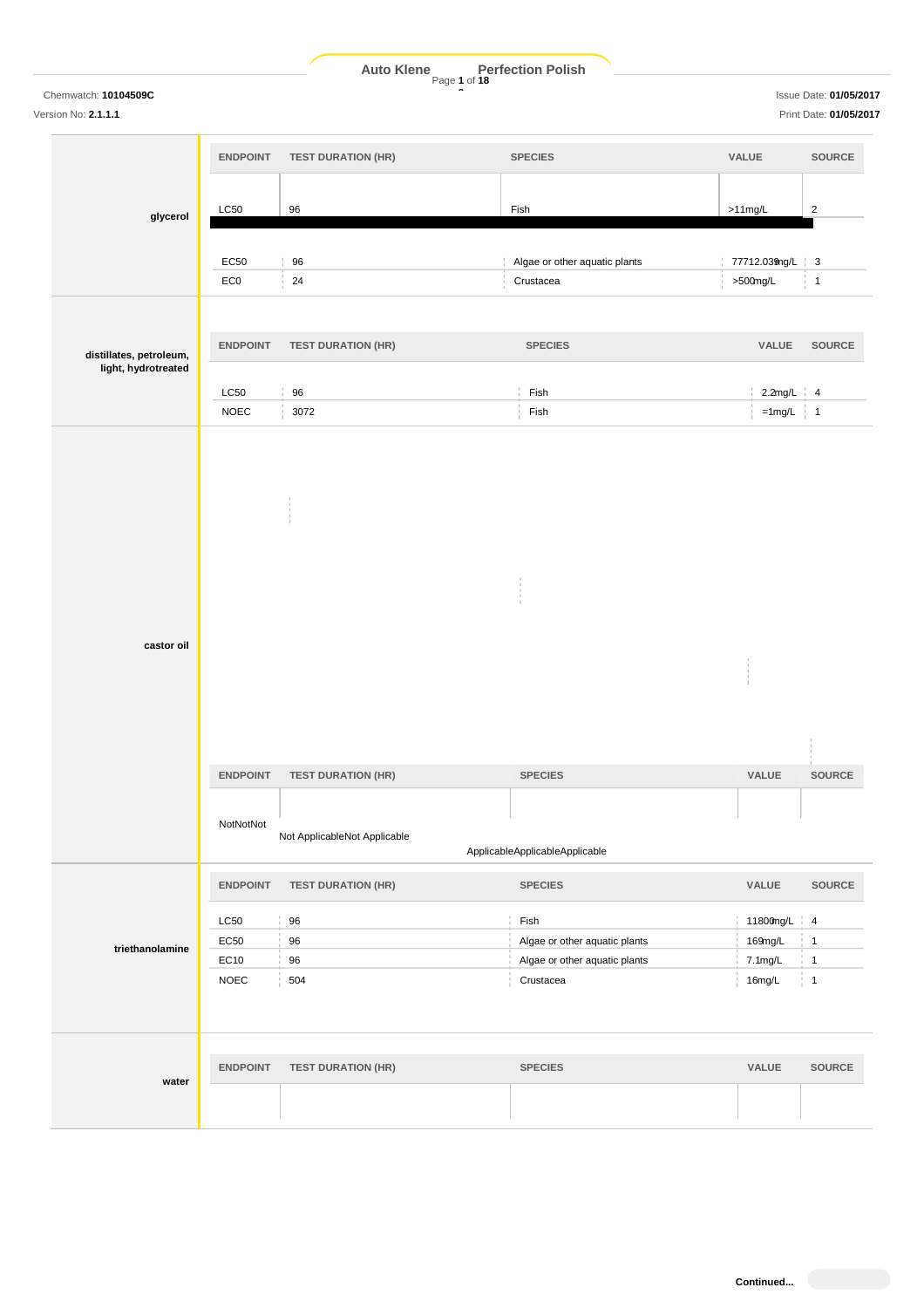| Chemwatch: 10104509C<br>Version No: 2.1.1.1 |                            | <b>Auto Klene</b>            | Perfection Polish                          |                               | Issue Date: 01/05/2017<br>Print Date: 01/05/2017 |
|---------------------------------------------|----------------------------|------------------------------|--------------------------------------------|-------------------------------|--------------------------------------------------|
|                                             | <b>ENDPOINT</b>            | <b>TEST DURATION (HR)</b>    | <b>SPECIES</b>                             | VALUE                         | SOURCE                                           |
| glycerol                                    | LC50                       | 96                           | Fish                                       | >11mg/L                       | $\sqrt{2}$                                       |
|                                             |                            |                              |                                            |                               |                                                  |
|                                             | EC <sub>50</sub>           | 96                           | Algae or other aquatic plants              | 77712.039ng/L 3               |                                                  |
|                                             | EC <sub>0</sub>            | 24                           | Crustacea                                  | >500mg/L                      | i 1                                              |
|                                             |                            |                              |                                            |                               |                                                  |
| distillates, petroleum,                     | <b>ENDPOINT</b>            | <b>TEST DURATION (HR)</b>    | <b>SPECIES</b>                             | VALUE                         | <b>SOURCE</b>                                    |
| light, hydrotreated                         |                            |                              |                                            |                               |                                                  |
|                                             | <b>LC50</b><br><b>NOEC</b> | 96<br>3072                   | Fish<br>Fish                               | $2.2$ mg/L $4$<br>$=1$ mg/L 1 |                                                  |
| castor oil                                  |                            |                              |                                            |                               | ÷                                                |
|                                             | <b>ENDPOINT</b>            | <b>TEST DURATION (HR)</b>    | <b>SPECIES</b>                             | VALUE                         | <b>SOURCE</b>                                    |
|                                             | NotNotNot                  | Not ApplicableNot Applicable | ApplicableApplicableApplicable             |                               |                                                  |
|                                             | <b>ENDPOINT</b>            | <b>TEST DURATION (HR)</b>    | <b>SPECIES</b>                             | VALUE                         | <b>SOURCE</b>                                    |
|                                             |                            |                              |                                            |                               |                                                  |
|                                             | LC50                       | 96                           | Fish                                       | 11800mg/L 4                   |                                                  |
|                                             | EC50                       | 96                           | Algae or other aquatic plants              | 169mg/L                       | $\mathbf{1}$                                     |
| triethanolamine                             | EC10<br><b>NOEC</b>        | 96<br>504                    | Algae or other aquatic plants<br>Crustacea | 7.1mg/L<br>16mg/L             | $\mathbf{1}$<br>$\frac{1}{1}$ 1                  |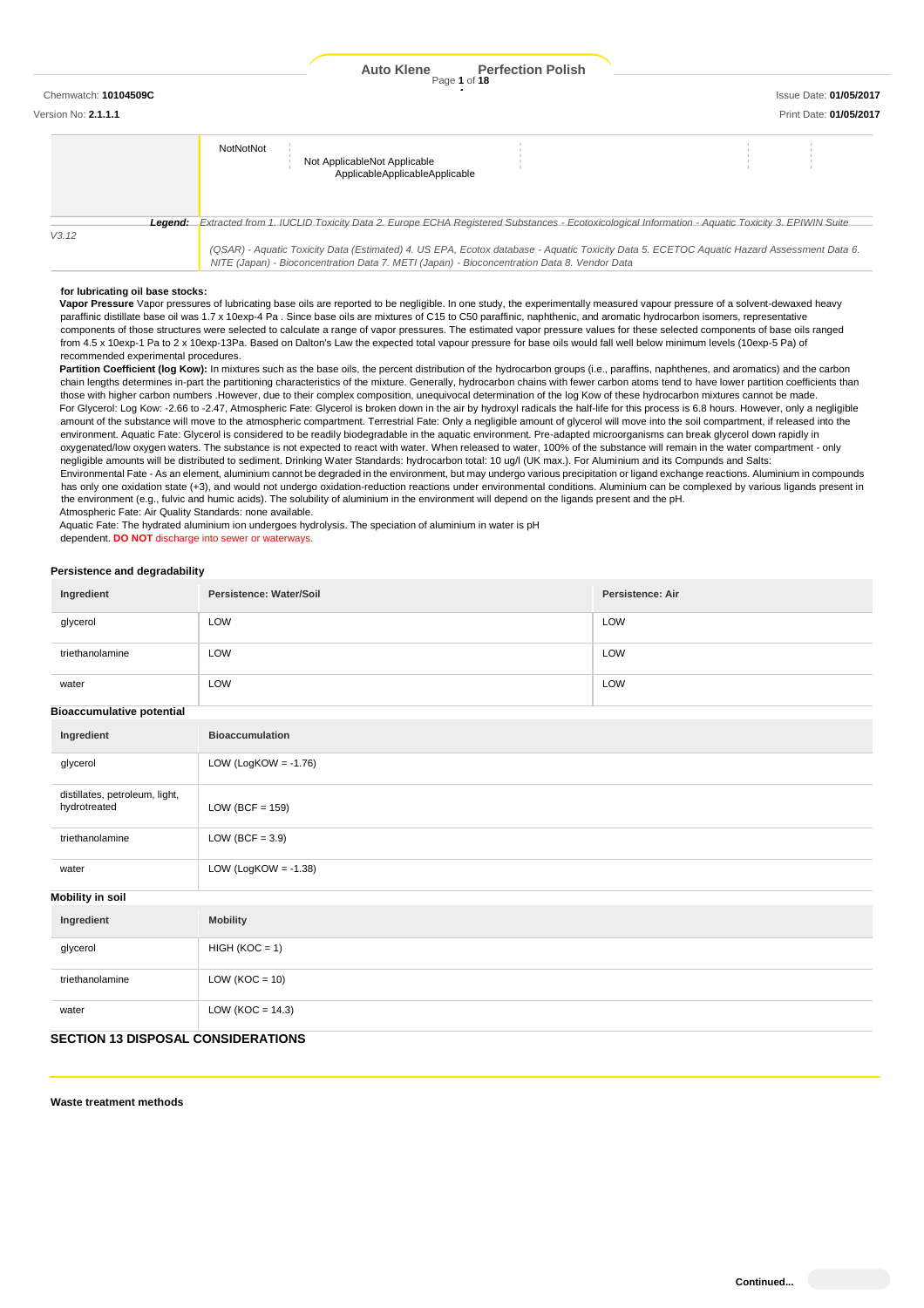| <b>Auto Klene</b> | <b>Perfection Polish</b> |  |
|-------------------|--------------------------|--|
| Page 1 of 18      |                          |  |
| ۰                 |                          |  |

### Chemwatch: **10104509C** Issue Date: **01/05/2017**

### Version No: **2.1.1.1** Print Date: **01/05/2017**

|         | NotNotNot<br>Not ApplicableNot Applicable<br>ApplicableApplicableApplicable                                                                                |  |  |
|---------|------------------------------------------------------------------------------------------------------------------------------------------------------------|--|--|
| Leaend: | Extracted from 1. IUCLID Toxicity Data 2. Europe ECHA Registered Substances - Ecotoxicological Information - Aquatic Toxicity 3. EPIWIN Suite              |  |  |
| V3.12   |                                                                                                                                                            |  |  |
|         | $(0.015)$ and $\tau$ , the Bill $(\tau, \nu, \ldots, \nu)$ a HO FDA Fille and the set $\tau$ . The Bill FOFTOO and $\tau$ and $\tau$ and $\tau$ and $\tau$ |  |  |

*(QSAR) - Aquatic Toxicity Data (Estimated) 4. US EPA, Ecotox database - Aquatic Toxicity Data 5. ECETOC Aquatic Hazard Assessment Data 6. NITE (Japan) - Bioconcentration Data 7. METI (Japan) - Bioconcentration Data 8. Vendor Data*

### **for lubricating oil base stocks:**

**Vapor Pressure** Vapor pressures of lubricating base oils are reported to be negligible. In one study, the experimentally measured vapour pressure of a solvent-dewaxed heavy paraffinic distillate base oil was 1.7 x 10exp-4 Pa . Since base oils are mixtures of C15 to C50 paraffinic, naphthenic, and aromatic hydrocarbon isomers, representative components of those structures were selected to calculate a range of vapor pressures. The estimated vapor pressure values for these selected components of base oils ranged from 4.5 x 10exp-1 Pa to 2 x 10exp-13Pa. Based on Dalton's Law the expected total vapour pressure for base oils would fall well below minimum levels (10exp-5 Pa) of recommended experimental procedures.

Partition Coefficient (log Kow): In mixtures such as the base oils, the percent distribution of the hydrocarbon groups (i.e., paraffins, naphthenes, and aromatics) and the carbon chain lengths determines in-part the partitioning characteristics of the mixture. Generally, hydrocarbon chains with fewer carbon atoms tend to have lower partition coefficients than those with higher carbon numbers .However, due to their complex composition, unequivocal determination of the log Kow of these hydrocarbon mixtures cannot be made. For Glycerol: Log Kow: -2.66 to -2.47, Atmospheric Fate: Glycerol is broken down in the air by hydroxyl radicals the half-life for this process is 6.8 hours. However, only a negligible amount of the substance will move to the atmospheric compartment. Terrestrial Fate: Only a negligible amount of glycerol will move into the soil compartment, if released into the environment. Aquatic Fate: Glycerol is considered to be readily biodegradable in the aquatic environment. Pre-adapted microorganisms can break glycerol down rapidly in oxygenated/low oxygen waters. The substance is not expected to react with water. When released to water, 100% of the substance will remain in the water compartment - only negligible amounts will be distributed to sediment. Drinking Water Standards: hydrocarbon total: 10 ug/l (UK max.). For Aluminium and its Compunds and Salts: Environmental Fate - As an element, aluminium cannot be degraded in the environment, but may undergo various precipitation or ligand exchange reactions. Aluminium in compounds has only one oxidation state (+3), and would not undergo oxidation-reduction reactions under environmental conditions. Aluminium can be complexed by various ligands present in the environment (e.g., fulvic and humic acids). The solubility of aluminium in the environment will depend on the ligands present and the pH. Atmospheric Fate: Air Quality Standards: none available.

Aquatic Fate: The hydrated aluminium ion undergoes hydrolysis. The speciation of aluminium in water is pH dependent. **DO NOT** discharge into sewer or waterways.

### **Persistence and degradability**

| Ingredient                       | Persistence: Water/Soil | <b>Persistence: Air</b> |
|----------------------------------|-------------------------|-------------------------|
| glycerol                         | LOW                     | LOW                     |
| triethanolamine                  | LOW                     | LOW                     |
| water                            | LOW                     | LOW                     |
| <b>Bioaccumulative potential</b> |                         |                         |

| Ingredient                                     | <b>Bioaccumulation</b>  |
|------------------------------------------------|-------------------------|
| glycerol                                       | LOW (LogKOW = $-1.76$ ) |
| distillates, petroleum, light,<br>hydrotreated | LOW (BCF = $159$ )      |
| triethanolamine                                | LOW (BCF = $3.9$ )      |
| water                                          | LOW (LogKOW = $-1.38$ ) |
| <b>Mobility in soil</b>                        |                         |
| Ingredient                                     | <b>Mobility</b>         |
| glycerol                                       | $HIGH (KOC = 1)$        |
| triethanolamine                                | LOW ( $KOC = 10$ )      |
| water                                          | LOW ( $KOC = 14.3$ )    |

### **SECTION 13 DISPOSAL CONSIDERATIONS**

**Waste treatment methods**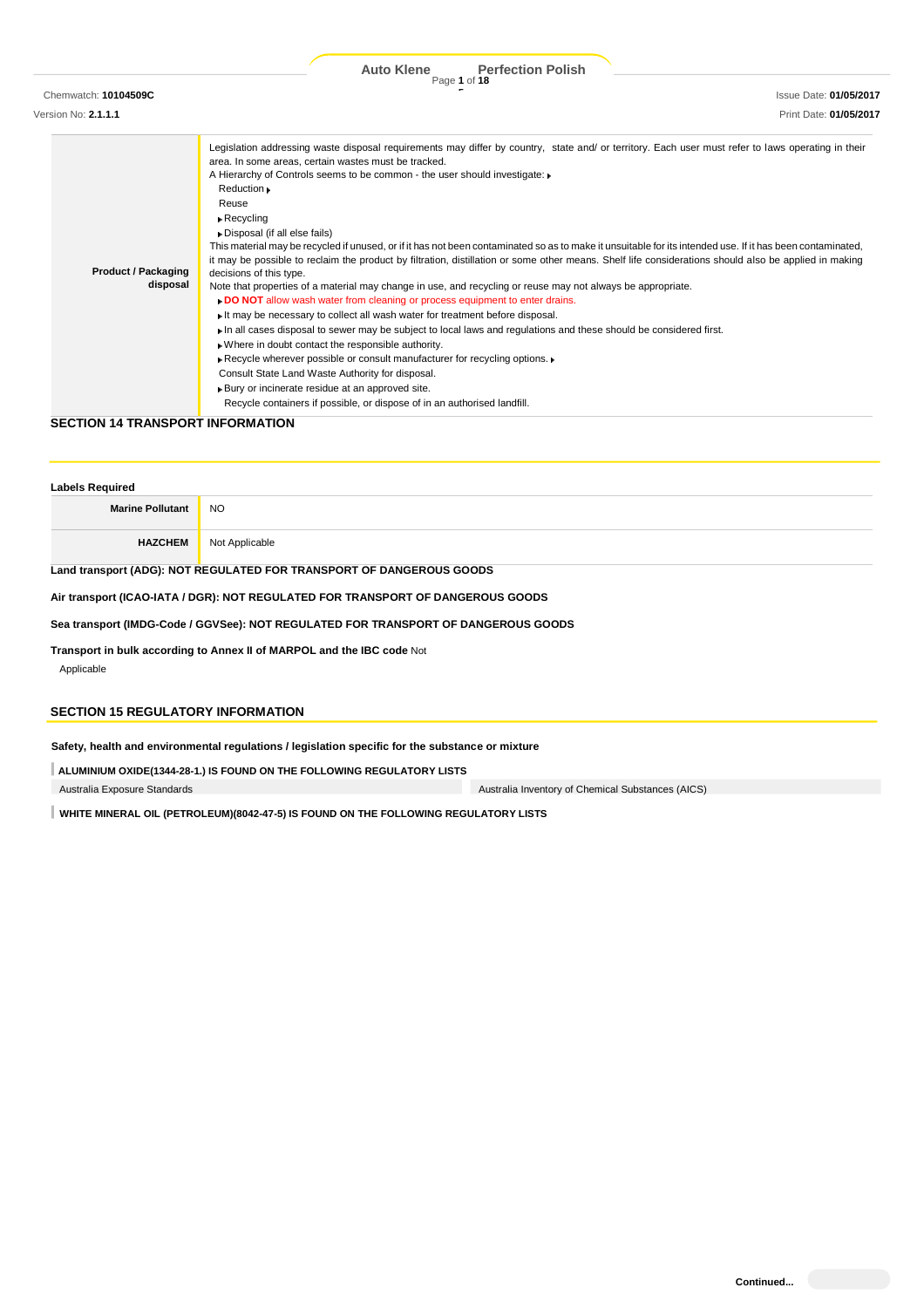|                                        | Page 1 of 18                                                                                                                                                                                                                                                                                                                                                                                                                                                                                                                                                                                                                                                                                                                                                                                                                                                                                                                                                                                                                                                                                                                                                                                                                                                                                                                                                                                                                                                   |
|----------------------------------------|----------------------------------------------------------------------------------------------------------------------------------------------------------------------------------------------------------------------------------------------------------------------------------------------------------------------------------------------------------------------------------------------------------------------------------------------------------------------------------------------------------------------------------------------------------------------------------------------------------------------------------------------------------------------------------------------------------------------------------------------------------------------------------------------------------------------------------------------------------------------------------------------------------------------------------------------------------------------------------------------------------------------------------------------------------------------------------------------------------------------------------------------------------------------------------------------------------------------------------------------------------------------------------------------------------------------------------------------------------------------------------------------------------------------------------------------------------------|
| Chemwatch: 10104509C                   | <b>Issue Date: 01/05/2017</b>                                                                                                                                                                                                                                                                                                                                                                                                                                                                                                                                                                                                                                                                                                                                                                                                                                                                                                                                                                                                                                                                                                                                                                                                                                                                                                                                                                                                                                  |
| Version No: 2.1.1.1                    | Print Date: 01/05/2017                                                                                                                                                                                                                                                                                                                                                                                                                                                                                                                                                                                                                                                                                                                                                                                                                                                                                                                                                                                                                                                                                                                                                                                                                                                                                                                                                                                                                                         |
| <b>Product / Packaging</b><br>disposal | Legislation addressing waste disposal requirements may differ by country, state and/ or territory. Each user must refer to laws operating in their<br>area. In some areas, certain wastes must be tracked.<br>A Hierarchy of Controls seems to be common - the user should investigate:<br>Reduction »<br>Reuse<br>$\triangleright$ Recycling<br>Disposal (if all else fails)<br>This material may be recycled if unused, or if it has not been contaminated so as to make it unsuitable for its intended use. If it has been contaminated,<br>it may be possible to reclaim the product by filtration, distillation or some other means. Shelf life considerations should also be applied in making<br>decisions of this type.<br>Note that properties of a material may change in use, and recycling or reuse may not always be appropriate.<br>. DO NOT allow wash water from cleaning or process equipment to enter drains.<br>It may be necessary to collect all wash water for treatment before disposal.<br>In all cases disposal to sewer may be subject to local laws and regulations and these should be considered first.<br>. Where in doubt contact the responsible authority.<br>▶ Recycle wherever possible or consult manufacturer for recycling options. ▶<br>Consult State Land Waste Authority for disposal.<br>Bury or incinerate residue at an approved site.<br>Recycle containers if possible, or dispose of in an authorised landfill. |

**Auto Klene Perfection Polish**

### **SECTION 14 TRANSPORT INFORMATION**

| <b>Labels Required</b>                                               |                |  |
|----------------------------------------------------------------------|----------------|--|
| <b>Marine Pollutant</b>                                              | <b>NO</b>      |  |
|                                                                      |                |  |
| <b>HAZCHEM</b>                                                       | Not Applicable |  |
|                                                                      |                |  |
| Land transport (ADG): NOT REGULATED FOR TRANSPORT OF DANGEROUS GOODS |                |  |

### **Air transport (ICAO-IATA / DGR): NOT REGULATED FOR TRANSPORT OF DANGEROUS GOODS**

### **Sea transport (IMDG-Code / GGVSee): NOT REGULATED FOR TRANSPORT OF DANGEROUS GOODS**

**Transport in bulk according to Annex II of MARPOL and the IBC code** Not

Applicable

### **SECTION 15 REGULATORY INFORMATION**

**Safety, health and environmental regulations / legislation specific for the substance or mixture**

**ALUMINIUM OXIDE(1344-28-1.) IS FOUND ON THE FOLLOWING REGULATORY LISTS**

Australia Exposure Standards Australia Inventory of Chemical Substances (AICS)

**WHITE MINERAL OIL (PETROLEUM)(8042-47-5) IS FOUND ON THE FOLLOWING REGULATORY LISTS**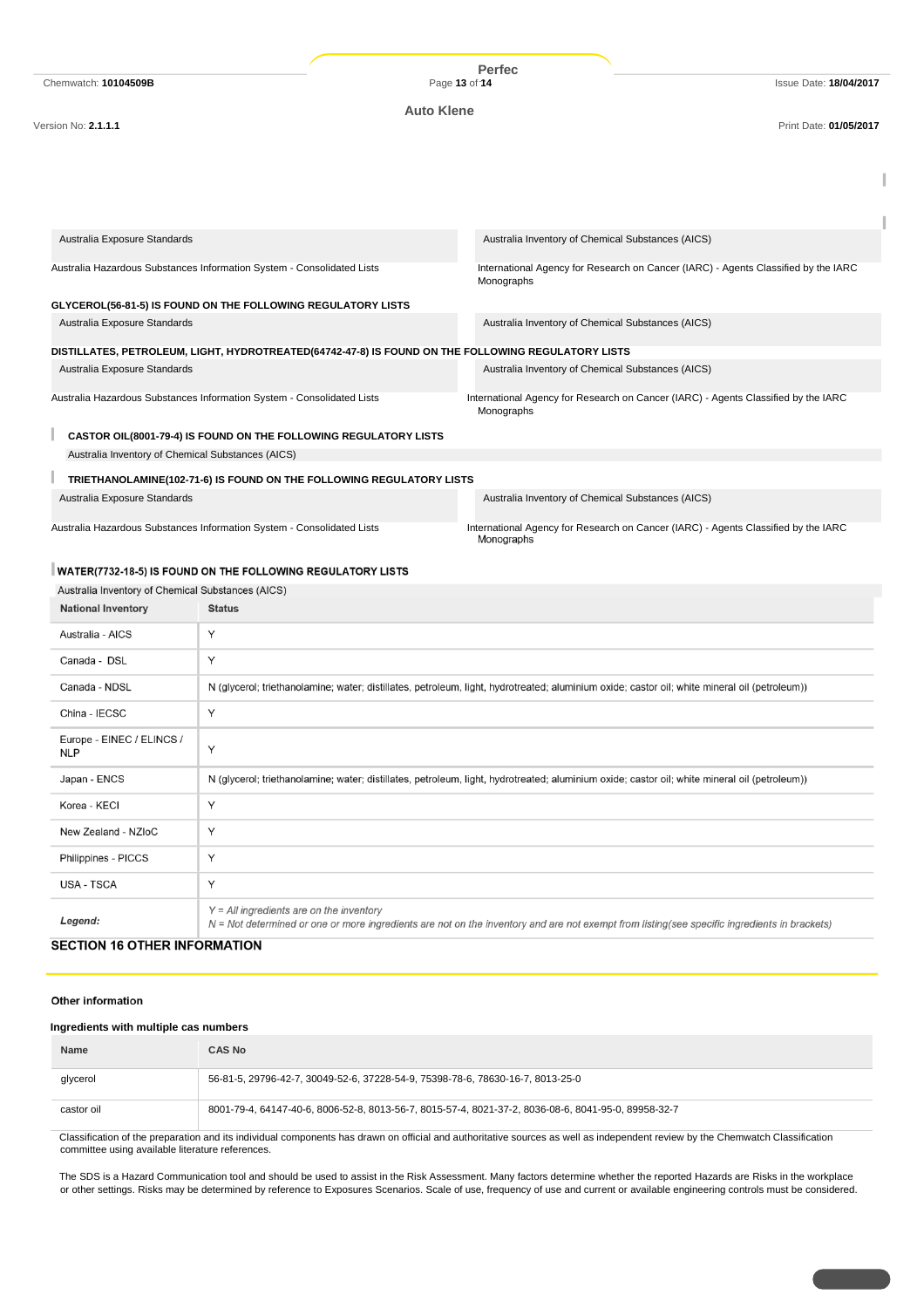|                                                   |                                                                                                    | <b>Perfec</b>                                                                                                                                 |
|---------------------------------------------------|----------------------------------------------------------------------------------------------------|-----------------------------------------------------------------------------------------------------------------------------------------------|
| Chemwatch: 10104509B                              |                                                                                                    | Page 13 of 14<br><b>Issue Date: 18/04/2017</b>                                                                                                |
| Version No: <b>2.1.1.1</b>                        | <b>Auto Klene</b>                                                                                  | Print Date: 01/05/2017                                                                                                                        |
| Australia Exposure Standards                      |                                                                                                    | Australia Inventory of Chemical Substances (AICS)                                                                                             |
|                                                   | Australia Hazardous Substances Information System - Consolidated Lists                             | International Agency for Research on Cancer (IARC) - Agents Classified by the IARC<br>Monographs                                              |
|                                                   | GLYCEROL(56-81-5) IS FOUND ON THE FOLLOWING REGULATORY LISTS                                       |                                                                                                                                               |
| Australia Exposure Standards                      |                                                                                                    | Australia Inventory of Chemical Substances (AICS)                                                                                             |
|                                                   | DISTILLATES, PETROLEUM, LIGHT, HYDROTREATED(64742-47-8) IS FOUND ON THE FOLLOWING REGULATORY LISTS |                                                                                                                                               |
| Australia Exposure Standards                      |                                                                                                    | Australia Inventory of Chemical Substances (AICS)                                                                                             |
|                                                   | Australia Hazardous Substances Information System - Consolidated Lists                             | International Agency for Research on Cancer (IARC) - Agents Classified by the IARC<br>Monographs                                              |
|                                                   | CASTOR OIL(8001-79-4) IS FOUND ON THE FOLLOWING REGULATORY LISTS                                   |                                                                                                                                               |
| Australia Inventory of Chemical Substances (AICS) |                                                                                                    |                                                                                                                                               |
|                                                   | TRIETHANOLAMINE(102-71-6) IS FOUND ON THE FOLLOWING REGULATORY LISTS                               |                                                                                                                                               |
| Australia Exposure Standards                      |                                                                                                    | Australia Inventory of Chemical Substances (AICS)                                                                                             |
|                                                   | Australia Hazardous Substances Information System - Consolidated Lists                             | International Agency for Research on Cancer (IARC) - Agents Classified by the IARC                                                            |
|                                                   |                                                                                                    | Monographs                                                                                                                                    |
| Australia Inventory of Chemical Substances (AICS) | WATER(7732-18-5) IS FOUND ON THE FOLLOWING REGULATORY LISTS                                        |                                                                                                                                               |
| <b>National Inventory</b>                         | <b>Status</b>                                                                                      |                                                                                                                                               |
| Australia - AICS                                  | Y                                                                                                  |                                                                                                                                               |
| Canada - DSL                                      | Υ                                                                                                  |                                                                                                                                               |
| Canada - NDSL                                     |                                                                                                    | N (glycerol; triethanolamine; water; distillates, petroleum, light, hydrotreated; aluminium oxide; castor oil; white mineral oil (petroleum)) |
| China - IECSC                                     | Υ                                                                                                  |                                                                                                                                               |
| Europe - EINEC / ELINCS /<br><b>NLP</b>           | Y                                                                                                  |                                                                                                                                               |
| Japan - ENCS                                      |                                                                                                    | N (glycerol; triethanolamine; water; distillates, petroleum, light, hydrotreated; aluminium oxide; castor oil; white mineral oil (petroleum)) |
| Korea - KECI                                      | Y                                                                                                  |                                                                                                                                               |
| New Zealand - NZIoC                               | Y                                                                                                  |                                                                                                                                               |
| Philippines - PICCS                               | Υ                                                                                                  |                                                                                                                                               |
| USA - TSCA                                        | Y                                                                                                  |                                                                                                                                               |
|                                                   |                                                                                                    |                                                                                                                                               |
| Legend:                                           | $Y = All$ ingredients are on the inventory                                                         | N = Not determined or one or more ingredients are not on the inventory and are not exempt from listing(see specific ingredients in brackets)  |

### Other information

### **Ingredients with multiple cas numbers**

| <b>Name</b> | <b>CAS No</b>                                                                                       |  |
|-------------|-----------------------------------------------------------------------------------------------------|--|
| glycerol    | 56-81-5, 29796-42-7, 30049-52-6, 37228-54-9, 75398-78-6, 78630-16-7, 8013-25-0                      |  |
| castor oil  | 8001-79-4, 64147-40-6, 8006-52-8, 8013-56-7, 8015-57-4, 8021-37-2, 8036-08-6, 8041-95-0, 89958-32-7 |  |

Classification of the preparation and its individual components has drawn on official and authoritative sources as well as independent review by the Chemwatch Classification committee using available literature references.

The SDS is a Hazard Communication tool and should be used to assist in the Risk Assessment. Many factors determine whether the reported Hazards are Risks in the workplace or other settings. Risks may be determined by reference to Exposures Scenarios. Scale of use, frequency of use and current or available engineering controls must be considered.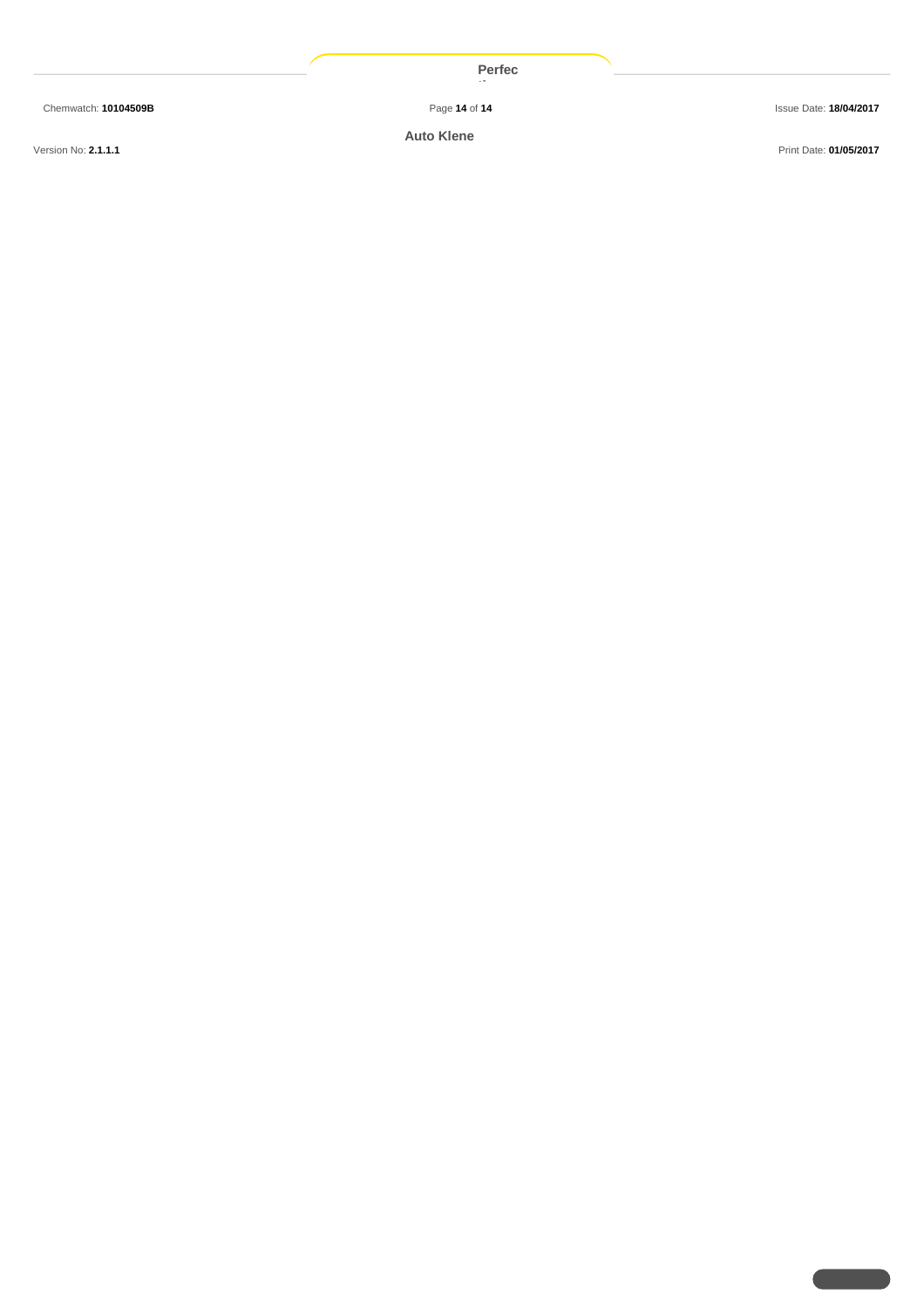Chemwatch: **10104509B** Page **14** of **14** 

Version No: **2.1.1.1** Print Date: **01/05/2017**

**Perfec tion** 

**Auto Klene** 

Issue Date: **18/04/2017**